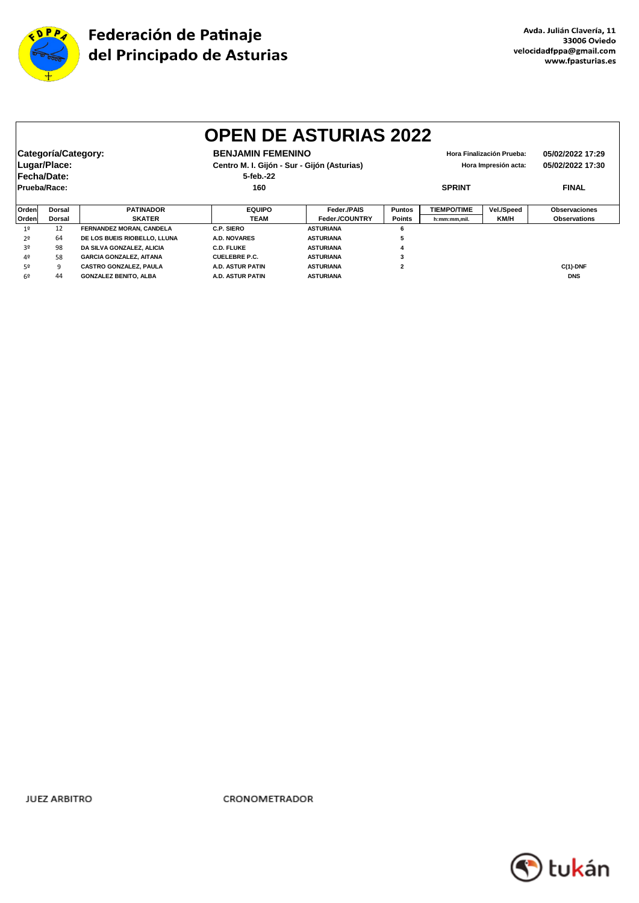

|                |                                     |                                |                                                                                      | <b>OPEN DE ASTURIAS 2022</b> |                                                   |                    |            |                                      |
|----------------|-------------------------------------|--------------------------------|--------------------------------------------------------------------------------------|------------------------------|---------------------------------------------------|--------------------|------------|--------------------------------------|
|                | Categoría/Category:<br>Lugar/Place: |                                | <b>BENJAMIN FEMENINO</b><br>Centro M. I. Gijón - Sur - Gijón (Asturias)<br>5-feb.-22 |                              | Hora Finalización Prueba:<br>Hora Impresión acta: |                    |            | 05/02/2022 17:29<br>05/02/2022 17:30 |
|                | Fecha/Date:<br>Prueba/Race:         |                                | 160                                                                                  |                              | <b>SPRINT</b>                                     |                    |            | <b>FINAL</b>                         |
| Orden          | Dorsal                              | <b>PATINADOR</b>               | <b>EQUIPO</b>                                                                        | Feder./PAIS                  | <b>Puntos</b>                                     | <b>TIEMPO/TIME</b> | Vel./Speed | <b>Observaciones</b>                 |
| Orden          | Dorsal                              | <b>SKATER</b>                  | TEAM                                                                                 | Feder./COUNTRY               | Points                                            | h:mm:mm,mil.       | KM/H       | <b>Observations</b>                  |
| 1 <sup>°</sup> | 12                                  | FERNANDEZ MORAN, CANDELA       | C.P. SIERO                                                                           | <b>ASTURIANA</b>             | 6                                                 |                    |            |                                      |
| 2º             | 64                                  | DE LOS BUEIS RIOBELLO, LLUNA   | <b>A.D. NOVARES</b>                                                                  | <b>ASTURIANA</b>             | 5                                                 |                    |            |                                      |
| 30             | 98                                  | DA SILVA GONZALEZ, ALICIA      | <b>C.D. FLUKE</b>                                                                    | <b>ASTURIANA</b>             |                                                   |                    |            |                                      |
| 4º             | 58                                  | <b>GARCIA GONZALEZ, AITANA</b> | <b>CUELEBRE P.C.</b>                                                                 | <b>ASTURIANA</b>             | 3                                                 |                    |            |                                      |
| 5º             | 9                                   | <b>CASTRO GONZALEZ, PAULA</b>  | <b>A.D. ASTUR PATIN</b>                                                              | <b>ASTURIANA</b>             | 2                                                 |                    |            | $C(1)$ -DNF                          |
| 62             | 44                                  | <b>GONZALEZ BENITO, ALBA</b>   | A.D. ASTUR PATIN                                                                     | <b>ASTURIANA</b>             |                                                   |                    |            | <b>DNS</b>                           |

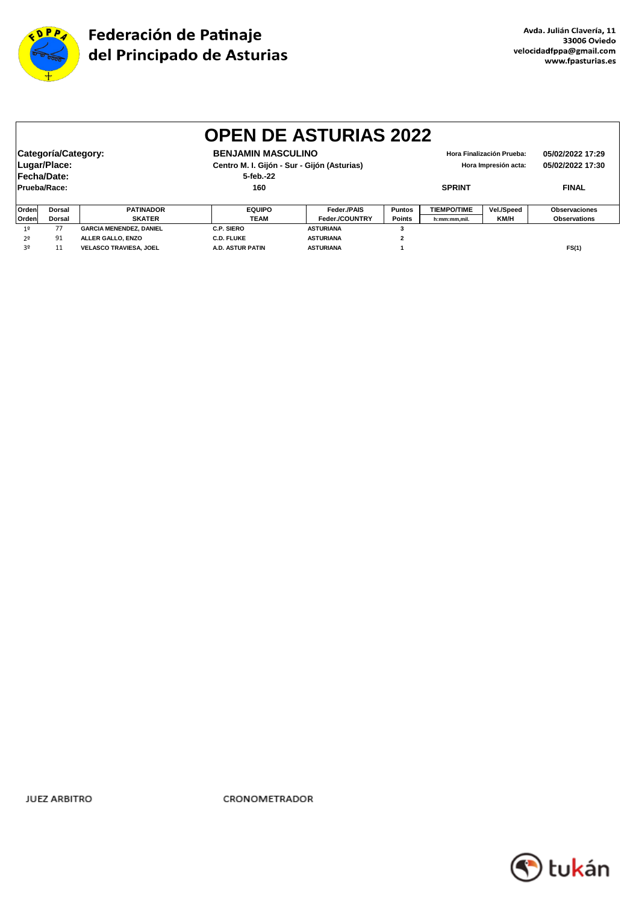

|                                                                                                                                                                                                  | <b>OPEN DE ASTURIAS 2022</b>         |                               |                         |                  |                |                    |                                      |                     |  |
|--------------------------------------------------------------------------------------------------------------------------------------------------------------------------------------------------|--------------------------------------|-------------------------------|-------------------------|------------------|----------------|--------------------|--------------------------------------|---------------------|--|
| Categoría/Category:<br><b>BENJAMIN MASCULINO</b><br>Hora Finalización Prueba:<br>Lugar/Place:<br>Centro M. I. Gijón - Sur - Gijón (Asturias)<br>Hora Impresión acta:<br>Fecha/Date:<br>5-feb.-22 |                                      |                               |                         |                  |                |                    | 05/02/2022 17:29<br>05/02/2022 17:30 |                     |  |
|                                                                                                                                                                                                  | Prueba/Race:                         |                               | 160                     |                  |                | <b>SPRINT</b>      |                                      | <b>FINAL</b>        |  |
| Orden                                                                                                                                                                                            | Dorsal                               | <b>PATINADOR</b>              | <b>EQUIPO</b>           | Feder./PAIS      | <b>Puntos</b>  | <b>TIEMPO/TIME</b> | Vel./Speed                           | Observaciones       |  |
| Orden                                                                                                                                                                                            | Dorsal                               | <b>SKATER</b>                 | <b>TEAM</b>             | Feder./COUNTRY   | <b>Points</b>  | h:mm:mm.mil.       | <b>KM/H</b>                          | <b>Observations</b> |  |
| 1 <sup>°</sup>                                                                                                                                                                                   | 77<br><b>GARCIA MENENDEZ, DANIEL</b> |                               | C.P. SIERO              | <b>ASTURIANA</b> | 3              |                    |                                      |                     |  |
| 2º                                                                                                                                                                                               | 91<br>ALLER GALLO, ENZO              |                               | <b>C.D. FLUKE</b>       | <b>ASTURIANA</b> | $\overline{2}$ |                    |                                      |                     |  |
| 30                                                                                                                                                                                               | 11                                   | <b>VELASCO TRAVIESA, JOEL</b> | <b>A.D. ASTUR PATIN</b> | <b>ASTURIANA</b> |                |                    |                                      | FS(1)               |  |

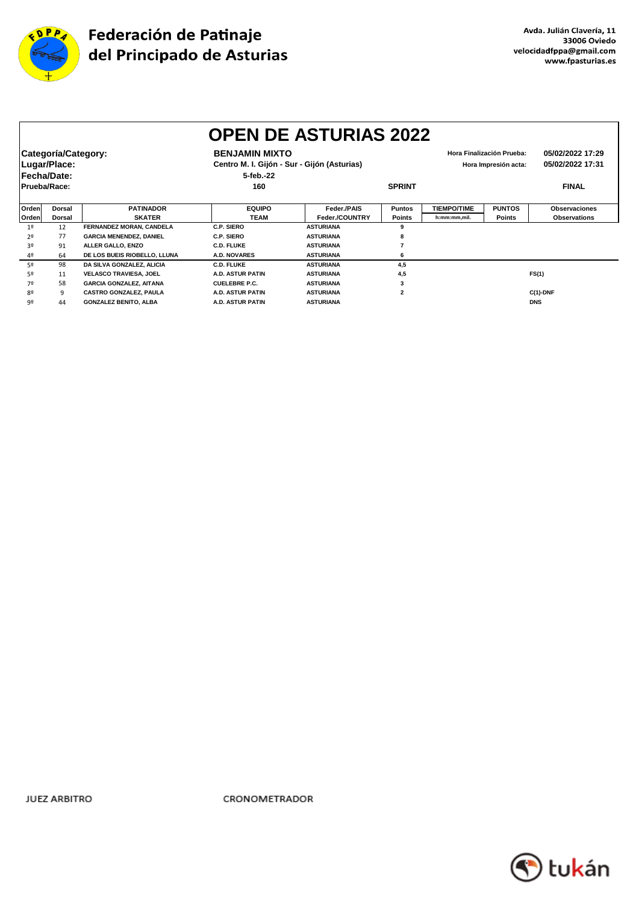

|       |                     |                                |                         | <b>OPEN DE ASTURIAS 2022</b>                                        |                |                    |                           |                      |
|-------|---------------------|--------------------------------|-------------------------|---------------------------------------------------------------------|----------------|--------------------|---------------------------|----------------------|
|       | Categoría/Category: |                                | <b>BENJAMIN MIXTO</b>   |                                                                     |                |                    | Hora Finalización Prueba: | 05/02/2022 17:29     |
|       | Lugar/Place:        |                                |                         | Centro M. I. Gijón - Sur - Gijón (Asturias)<br>Hora Impresión acta: |                |                    |                           | 05/02/2022 17:31     |
|       | Fecha/Date:         |                                | 5-feb.-22               |                                                                     |                |                    |                           |                      |
|       | Prueba/Race:        |                                | 160                     |                                                                     | <b>SPRINT</b>  |                    |                           | <b>FINAL</b>         |
|       |                     |                                |                         |                                                                     |                |                    |                           |                      |
| Orden | <b>Dorsal</b>       | <b>PATINADOR</b>               | <b>EQUIPO</b>           | Feder./PAIS                                                         | <b>Puntos</b>  | <b>TIEMPO/TIME</b> | <b>PUNTOS</b>             | <b>Observaciones</b> |
| Orden | <b>Dorsal</b>       | <b>SKATER</b>                  | <b>TEAM</b>             | Feder./COUNTRY                                                      | <b>Points</b>  | h:mm:mm.mil.       | <b>Points</b>             | <b>Observations</b>  |
| 19    | 12                  | FERNANDEZ MORAN, CANDELA       | C.P. SIERO              | <b>ASTURIANA</b>                                                    | 9              |                    |                           |                      |
| 2º    | 77                  | <b>GARCIA MENENDEZ, DANIEL</b> | C.P. SIERO              | <b>ASTURIANA</b>                                                    |                |                    |                           |                      |
| 3º    | 91                  | ALLER GALLO, ENZO              | <b>C.D. FLUKE</b>       | <b>ASTURIANA</b>                                                    |                |                    |                           |                      |
| 4º    | 64                  | DE LOS BUEIS RIOBELLO, LLUNA   | A.D. NOVARES            | <b>ASTURIANA</b>                                                    | 6              |                    |                           |                      |
| 52    | 98                  | DA SILVA GONZALEZ, ALICIA      | <b>C.D. FLUKE</b>       | <b>ASTURIANA</b>                                                    | 4,5            |                    |                           |                      |
| 52    | 11                  | <b>VELASCO TRAVIESA, JOEL</b>  | <b>A.D. ASTUR PATIN</b> | <b>ASTURIANA</b>                                                    | 4,5            |                    |                           | FS(1)                |
| 7º    | 58                  | <b>GARCIA GONZALEZ, AITANA</b> | <b>CUELEBRE P.C.</b>    | <b>ASTURIANA</b>                                                    | 3              |                    |                           |                      |
| 80    | q                   | <b>CASTRO GONZALEZ, PAULA</b>  | A.D. ASTUR PATIN        | <b>ASTURIANA</b>                                                    | $\overline{2}$ |                    |                           | $C(1)$ -DNF          |
| 9º    | 44                  | <b>GONZALEZ BENITO, ALBA</b>   | <b>A.D. ASTUR PATIN</b> | <b>ASTURIANA</b>                                                    |                |                    |                           | <b>DNS</b>           |

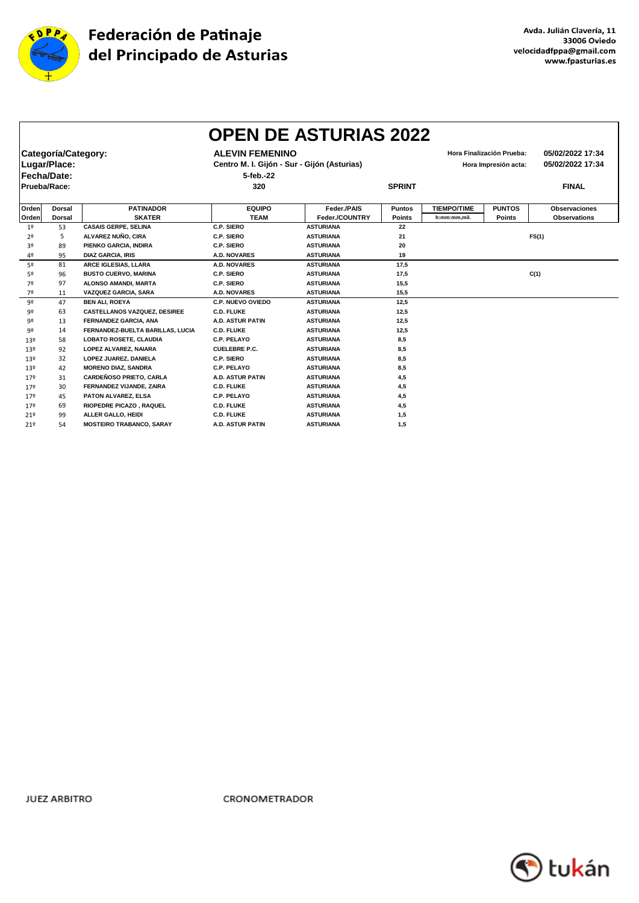

|                |                     |                                     |                          | <b>OPEN DE ASTURIAS 2022</b>                |               |                    |                           |                      |
|----------------|---------------------|-------------------------------------|--------------------------|---------------------------------------------|---------------|--------------------|---------------------------|----------------------|
|                | Categoría/Category: |                                     | <b>ALEVIN FEMENINO</b>   |                                             |               |                    | Hora Finalización Prueba: | 05/02/2022 17:34     |
|                | Lugar/Place:        |                                     |                          | Centro M. I. Gijón - Sur - Gijón (Asturias) |               |                    | Hora Impresión acta:      | 05/02/2022 17:34     |
|                | Fecha/Date:         |                                     | 5-feb.-22                |                                             |               |                    |                           |                      |
|                |                     |                                     |                          |                                             |               |                    |                           |                      |
| Prueba/Race:   |                     |                                     | 320                      |                                             | <b>SPRINT</b> |                    |                           | <b>FINAL</b>         |
| Orden          | Dorsal              | <b>PATINADOR</b>                    | <b>EQUIPO</b>            | Feder./PAIS                                 | <b>Puntos</b> | <b>TIEMPO/TIME</b> | <b>PUNTOS</b>             | <b>Observaciones</b> |
| Orden          | <b>Dorsal</b>       | <b>SKATER</b>                       | <b>TEAM</b>              | Feder./COUNTRY                              | <b>Points</b> | h:mm:mm,mil.       | <b>Points</b>             | <b>Observations</b>  |
| 1 <sup>o</sup> | 53                  | <b>CASAIS GERPE, SELINA</b>         | C.P. SIERO               | <b>ASTURIANA</b>                            | 22            |                    |                           |                      |
| 2º             | 5                   | ALVAREZ NUÑO, CIRA                  | C.P. SIERO               | <b>ASTURIANA</b>                            | 21            |                    |                           | FS(1)                |
| 3º             | 89                  | PIENKO GARCIA, INDIRA               | C.P. SIERO               | <b>ASTURIANA</b>                            | 20            |                    |                           |                      |
| 4º             | 95                  | <b>DIAZ GARCIA, IRIS</b>            | <b>A.D. NOVARES</b>      | <b>ASTURIANA</b>                            | 19            |                    |                           |                      |
| 5º             | 81                  | ARCE IGLESIAS, LLARA                | A.D. NOVARES             | <b>ASTURIANA</b>                            | 17,5          |                    |                           |                      |
| 52             | 96                  | <b>BUSTO CUERVO, MARINA</b>         | C.P. SIERO               | <b>ASTURIANA</b>                            | 17,5          |                    |                           | C(1)                 |
| 7º             | 97                  | ALONSO AMANDI, MARTA                | C.P. SIERO               | <b>ASTURIANA</b>                            | 15,5          |                    |                           |                      |
| 7º             | 11                  | VAZQUEZ GARCIA, SARA                | <b>A.D. NOVARES</b>      | <b>ASTURIANA</b>                            | 15,5          |                    |                           |                      |
| 9º             | 47                  | <b>BEN ALI, ROEYA</b>               | <b>C.P. NUEVO OVIEDO</b> | ASTURIANA                                   | 12,5          |                    |                           |                      |
| 92             | 63                  | <b>CASTELLANOS VAZQUEZ. DESIREE</b> | <b>C.D. FLUKE</b>        | <b>ASTURIANA</b>                            | 12,5          |                    |                           |                      |
| 92             | 13                  | FERNANDEZ GARCIA, ANA               | <b>A.D. ASTUR PATIN</b>  | <b>ASTURIANA</b>                            | 12,5          |                    |                           |                      |
| 92             | 14                  | FERNANDEZ-BUELTA BARILLAS, LUCIA    | <b>C.D. FLUKE</b>        | <b>ASTURIANA</b>                            | 12,5          |                    |                           |                      |
| 13º            | 58                  | <b>LOBATO ROSETE, CLAUDIA</b>       | C.P. PELAYO              | <b>ASTURIANA</b>                            | 8,5           |                    |                           |                      |
| 13º            | 92                  | LOPEZ ALVAREZ, NAIARA               | <b>CUELEBRE P.C.</b>     | <b>ASTURIANA</b>                            | 8,5           |                    |                           |                      |
| 13º            | 32                  | LOPEZ JUAREZ, DANIELA               | C.P. SIERO               | <b>ASTURIANA</b>                            | 8,5           |                    |                           |                      |
| 13º            | 42                  | <b>MORENO DIAZ, SANDRA</b>          | C.P. PELAYO              | <b>ASTURIANA</b>                            | 8,5           |                    |                           |                      |
| 179            | 31                  | <b>CARDEÑOSO PRIETO, CARLA</b>      | <b>A.D. ASTUR PATIN</b>  | <b>ASTURIANA</b>                            | 4,5           |                    |                           |                      |
| 179            | 30                  | FERNANDEZ VIJANDE, ZAIRA            | <b>C.D. FLUKE</b>        | <b>ASTURIANA</b>                            | 4,5           |                    |                           |                      |
| 179            | 45                  | PATON ALVAREZ, ELSA                 | C.P. PELAYO              | <b>ASTURIANA</b>                            | 4,5           |                    |                           |                      |
| 179            | 69                  | RIOPEDRE PICAZO, RAQUEL             | <b>C.D. FLUKE</b>        | <b>ASTURIANA</b>                            | 4,5           |                    |                           |                      |
| 21º            | 99                  | ALLER GALLO, HEIDI                  | <b>C.D. FLUKE</b>        | <b>ASTURIANA</b>                            | 1,5           |                    |                           |                      |
| 219            | 54                  | <b>MOSTEIRO TRABANCO, SARAY</b>     | A.D. ASTUR PATIN         | <b>ASTURIANA</b>                            | 1,5           |                    |                           |                      |

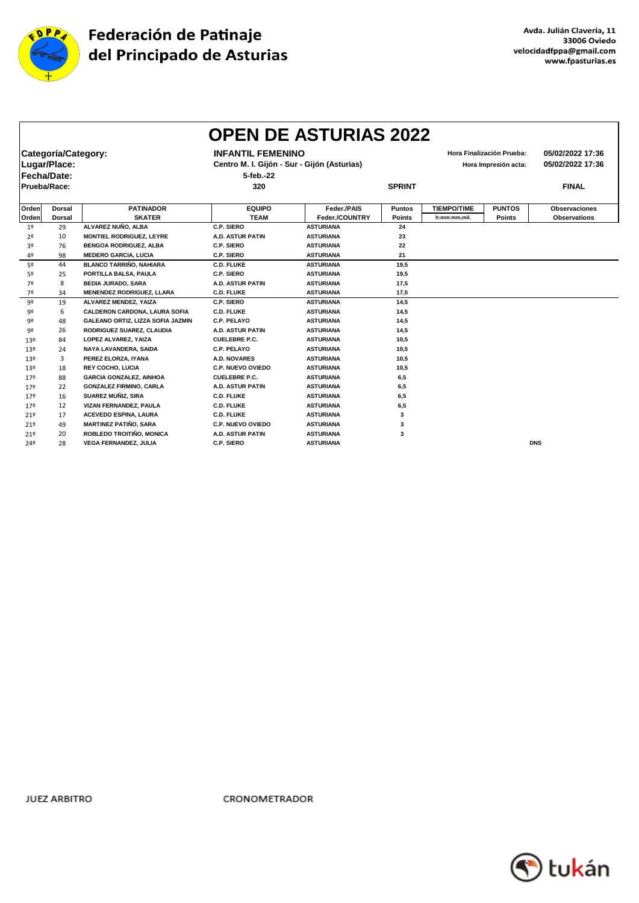

|                 |                     |                                      |                          | <b>OPEN DE ASTURIAS 2022</b>                |               |                    |                           |                      |
|-----------------|---------------------|--------------------------------------|--------------------------|---------------------------------------------|---------------|--------------------|---------------------------|----------------------|
|                 | Categoría/Category: |                                      | <b>INFANTIL FEMENINO</b> |                                             |               |                    | Hora Finalización Prueba: | 05/02/2022 17:36     |
|                 | Lugar/Place:        |                                      |                          | Centro M. I. Gijón - Sur - Gijón (Asturias) |               |                    | Hora Impresión acta:      | 05/02/2022 17:36     |
|                 | Fecha/Date:         |                                      |                          | 5-feb.-22                                   |               |                    |                           |                      |
| Prueba/Race:    |                     |                                      |                          |                                             |               |                    |                           |                      |
|                 |                     |                                      | 320                      |                                             | <b>SPRINT</b> |                    |                           | <b>FINAL</b>         |
| Orden           | <b>Dorsal</b>       | <b>PATINADOR</b>                     | <b>EQUIPO</b>            | Feder./PAIS                                 | <b>Puntos</b> | <b>TIEMPO/TIME</b> | <b>PUNTOS</b>             | <b>Observaciones</b> |
| Orden           | Dorsal              | <b>SKATER</b>                        | <b>TEAM</b>              | Feder./COUNTRY                              | <b>Points</b> | h:mm:mm,mil.       | <b>Points</b>             | <b>Observations</b>  |
| 1 <sup>o</sup>  | 29                  | ALVAREZ NUÑO, ALBA                   | C.P. SIERO               | <b>ASTURIANA</b>                            | 24            |                    |                           |                      |
| 2º              | 10                  | <b>MONTIEL RODRIGUEZ, LEYRE</b>      | <b>A.D. ASTUR PATIN</b>  | <b>ASTURIANA</b>                            | 23            |                    |                           |                      |
| 3º              | 76                  | <b>BENGOA RODRIGUEZ, ALBA</b>        | C.P. SIERO               | <b>ASTURIANA</b>                            | 22            |                    |                           |                      |
| 4º              | 98                  | <b>MEDERO GARCIA, LUCIA</b>          | C.P. SIERO               | <b>ASTURIANA</b>                            | 21            |                    |                           |                      |
| 5º              | 44                  | <b>BLANCO TARRIÑO, NAHIARA</b>       | <b>C.D. FLUKE</b>        | <b>ASTURIANA</b>                            | 19.5          |                    |                           |                      |
| 5º              | 25                  | PORTILLA BALSA, PAULA                | C.P. SIERO               | <b>ASTURIANA</b>                            | 19,5          |                    |                           |                      |
| 7º              | 8                   | <b>BEDIA JURADO, SARA</b>            | <b>A.D. ASTUR PATIN</b>  | <b>ASTURIANA</b>                            | 17,5          |                    |                           |                      |
| 7º              | 34                  | <b>MENENDEZ RODRIGUEZ, LLARA</b>     | <b>C.D. FLUKE</b>        | <b>ASTURIANA</b>                            | 17,5          |                    |                           |                      |
| 92              | 19                  | ALVAREZ MENDEZ, YAIZA                | C.P. SIERO               | <b>ASTURIANA</b>                            | 14,5          |                    |                           |                      |
| 92              | 6                   | <b>CALDERON CARDONA, LAURA SOFIA</b> | <b>C.D. FLUKE</b>        | <b>ASTURIANA</b>                            | 14,5          |                    |                           |                      |
| 92              | 48                  | GALEANO ORTIZ, LIZZA SOFIA JAZMIN    | C.P. PELAYO              | <b>ASTURIANA</b>                            | 14,5          |                    |                           |                      |
| 92              | 26                  | RODRIGUEZ SUAREZ, CLAUDIA            | <b>A.D. ASTUR PATIN</b>  | <b>ASTURIANA</b>                            | 14,5          |                    |                           |                      |
| 13º             | 84                  | LOPEZ ALVAREZ, YAIZA                 | <b>CUELEBRE P.C.</b>     | <b>ASTURIANA</b>                            | 10,5          |                    |                           |                      |
| 13 <sup>°</sup> | 24                  | NAYA LAVANDERA, SAIDA                | <b>C.P. PELAYO</b>       | <b>ASTURIANA</b>                            | 10,5          |                    |                           |                      |
| 13º             | 3                   | PEREZ ELORZA, IYANA                  | <b>A.D. NOVARES</b>      | <b>ASTURIANA</b>                            | 10,5          |                    |                           |                      |
| 13 <sup>°</sup> | 18                  | <b>REY COCHO, LUCIA</b>              | <b>C.P. NUEVO OVIEDO</b> | <b>ASTURIANA</b>                            | 10,5          |                    |                           |                      |
| 179             | 88                  | <b>GARCIA GONZALEZ, AINHOA</b>       | <b>CUELEBRE P.C.</b>     | <b>ASTURIANA</b>                            | 6,5           |                    |                           |                      |
| 179             | 22                  | <b>GONZALEZ FIRMINO, CARLA</b>       | <b>A.D. ASTUR PATIN</b>  | <b>ASTURIANA</b>                            | 6,5           |                    |                           |                      |
| 179             | 16                  | SUAREZ MUÑIZ, SIRA                   | <b>C.D. FLUKE</b>        | <b>ASTURIANA</b>                            | 6,5           |                    |                           |                      |
| 179             | 12                  | VIZAN FERNANDEZ, PAULA               | <b>C.D. FLUKE</b>        | <b>ASTURIANA</b>                            | 6,5           |                    |                           |                      |
| 21 <sup>°</sup> | 17                  | <b>ACEVEDO ESPINA, LAURA</b>         | <b>C.D. FLUKE</b>        | <b>ASTURIANA</b>                            | 3             |                    |                           |                      |
| 21 <sup>°</sup> | 49                  | <b>MARTINEZ PATIÑO, SARA</b>         | <b>C.P. NUEVO OVIEDO</b> | <b>ASTURIANA</b>                            | 3             |                    |                           |                      |
| 21 <sup>9</sup> | 20                  | ROBLEDO TROITIÑO, MONICA             | <b>A.D. ASTUR PATIN</b>  | <b>ASTURIANA</b>                            | 3             |                    |                           |                      |
| 24º             | 28                  | <b>VEGA FERNANDEZ, JULIA</b>         | C.P. SIERO               | <b>ASTURIANA</b>                            |               |                    |                           | <b>DNS</b>           |

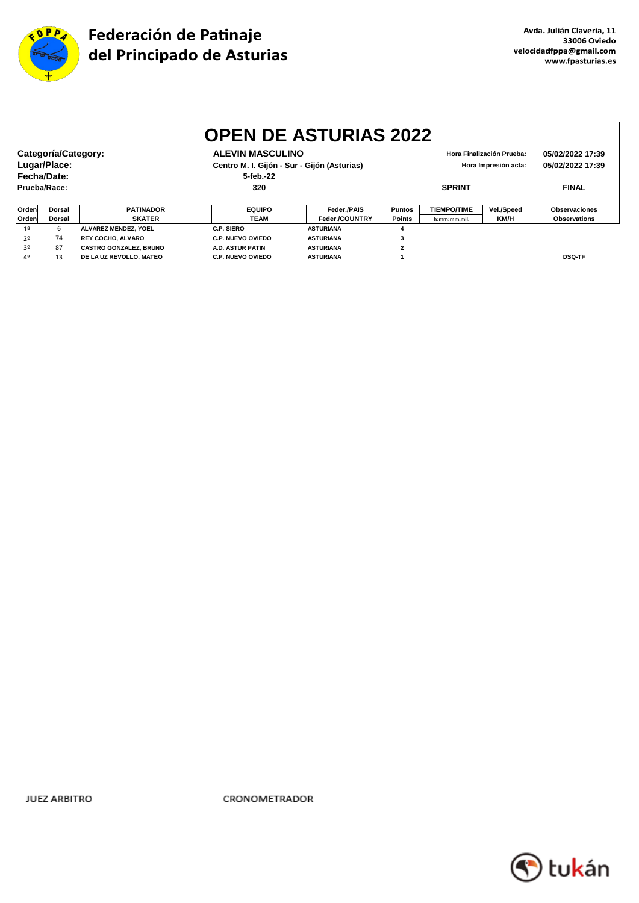

|                | <b>OPEN DE ASTURIAS 2022</b>        |                               |                                                                                     |                  |                                                   |                    |              |                                      |  |  |
|----------------|-------------------------------------|-------------------------------|-------------------------------------------------------------------------------------|------------------|---------------------------------------------------|--------------------|--------------|--------------------------------------|--|--|
|                | Categoría/Category:<br>Lugar/Place: |                               | <b>ALEVIN MASCULINO</b><br>Centro M. I. Gijón - Sur - Gijón (Asturias)<br>5-feb.-22 |                  | Hora Finalización Prueba:<br>Hora Impresión acta: |                    |              | 05/02/2022 17:39<br>05/02/2022 17:39 |  |  |
|                | Fecha/Date:<br>Prueba/Race:         |                               | 320                                                                                 |                  | <b>SPRINT</b>                                     |                    | <b>FINAL</b> |                                      |  |  |
| Orden          | Dorsal                              | <b>PATINADOR</b>              | <b>EQUIPO</b>                                                                       | Feder./PAIS      | <b>Puntos</b>                                     | <b>TIEMPO/TIME</b> | Vel./Speed   | <b>Observaciones</b>                 |  |  |
| Ordenl         | Dorsal                              | <b>SKATER</b>                 | <b>TEAM</b>                                                                         | Feder./COUNTRY   | <b>Points</b>                                     | h:mm:mm.mil.       | <b>KM/H</b>  | <b>Observations</b>                  |  |  |
| 1 <sup>°</sup> | 6                                   | <b>ALVAREZ MENDEZ. YOEL</b>   | C.P. SIERO                                                                          | <b>ASTURIANA</b> |                                                   |                    |              |                                      |  |  |
| 70             | 74<br><b>REY COCHO, ALVARO</b>      |                               | <b>C.P. NUEVO OVIEDO</b>                                                            | <b>ASTURIANA</b> | 3                                                 |                    |              |                                      |  |  |
| 30             | 87                                  | <b>CASTRO GONZALEZ, BRUNO</b> | A.D. ASTUR PATIN                                                                    | <b>ASTURIANA</b> | $\overline{2}$                                    |                    |              |                                      |  |  |
| 4º             | 13                                  | DE LA UZ REVOLLO. MATEO       | <b>C.P. NUEVO OVIEDO</b>                                                            | <b>ASTURIANA</b> |                                                   |                    |              | <b>DSQ-TF</b>                        |  |  |

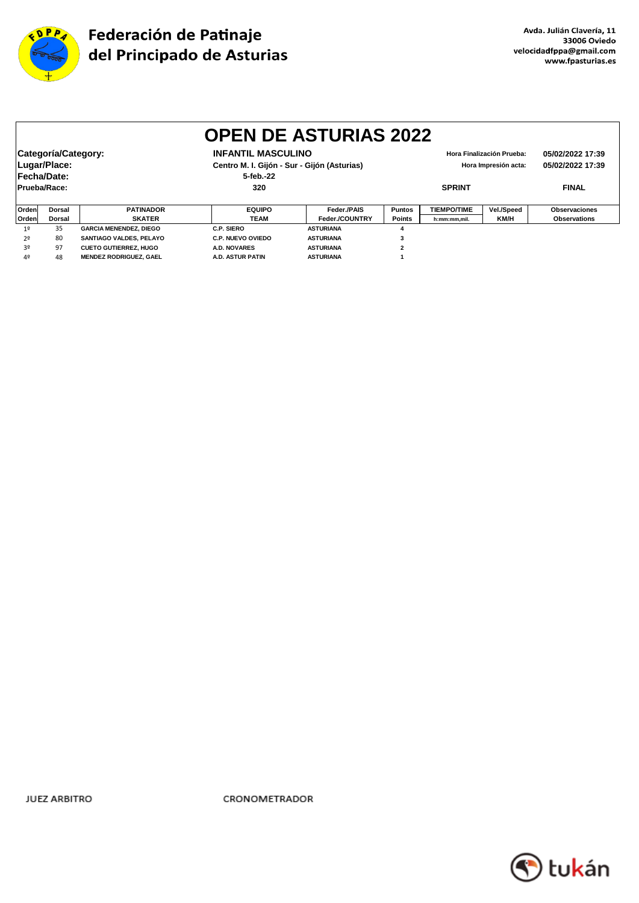

| <b>OPEN DE ASTURIAS 2022</b> |                                                                                                   |                               |                                             |                  |                |                                          |            |                      |  |  |
|------------------------------|---------------------------------------------------------------------------------------------------|-------------------------------|---------------------------------------------|------------------|----------------|------------------------------------------|------------|----------------------|--|--|
|                              | Categoría/Category:<br><b>INFANTIL MASCULINO</b><br>05/02/2022 17:39<br>Hora Finalización Prueba: |                               |                                             |                  |                |                                          |            |                      |  |  |
| Lugar/Place:                 |                                                                                                   |                               | Centro M. I. Gijón - Sur - Gijón (Asturias) |                  |                | 05/02/2022 17:39<br>Hora Impresión acta: |            |                      |  |  |
| Fecha/Date:                  |                                                                                                   |                               | 5-feb.-22                                   |                  |                |                                          |            |                      |  |  |
| Prueba/Race:                 |                                                                                                   |                               | 320                                         |                  |                | <b>SPRINT</b>                            |            | <b>FINAL</b>         |  |  |
|                              |                                                                                                   |                               |                                             |                  |                |                                          |            |                      |  |  |
| <b>Orden</b>                 | Dorsal                                                                                            | <b>PATINADOR</b>              | <b>EQUIPO</b>                               | Feder./PAIS      | <b>Puntos</b>  | <b>TIEMPO/TIME</b>                       | Vel./Speed | <b>Observaciones</b> |  |  |
| Orden                        | Dorsal                                                                                            | <b>SKATER</b>                 | <b>TEAM</b>                                 | Feder./COUNTRY   | <b>Points</b>  | h:mm:mm,mil.                             | KM/H       | <b>Observations</b>  |  |  |
| 1 <sup>°</sup>               | 35                                                                                                | <b>GARCIA MENENDEZ, DIEGO</b> | C.P. SIERO                                  | <b>ASTURIANA</b> |                |                                          |            |                      |  |  |
| 2 <sup>0</sup>               | 80                                                                                                | SANTIAGO VALDES, PELAYO       | <b>C.P. NUEVO OVIEDO</b>                    | <b>ASTURIANA</b> | 3              |                                          |            |                      |  |  |
| 30                           | 97                                                                                                | <b>CUETO GUTIERREZ, HUGO</b>  | A.D. NOVARES                                | <b>ASTURIANA</b> | $\overline{2}$ |                                          |            |                      |  |  |
| 4º                           | 48                                                                                                | <b>MENDEZ RODRIGUEZ, GAEL</b> | A.D. ASTUR PATIN                            | <b>ASTURIANA</b> |                |                                          |            |                      |  |  |

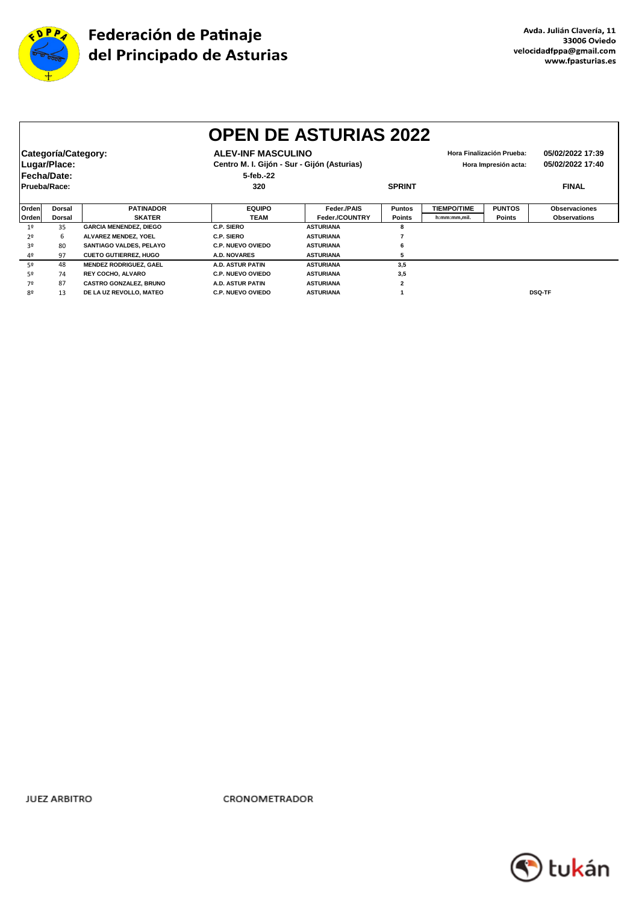

|              | <b>OPEN DE ASTURIAS 2022</b> |                               |                                             |                           |                |                    |                           |                      |  |
|--------------|------------------------------|-------------------------------|---------------------------------------------|---------------------------|----------------|--------------------|---------------------------|----------------------|--|
|              | Categoría/Category:          |                               |                                             | <b>ALEV-INF MASCULINO</b> |                |                    | Hora Finalización Prueba: | 05/02/2022 17:39     |  |
|              | Lugar/Place:                 |                               | Centro M. I. Gijón - Sur - Gijón (Asturias) |                           |                |                    | Hora Impresión acta:      | 05/02/2022 17:40     |  |
|              | Fecha/Date:                  |                               | 5-feb.-22                                   |                           |                |                    |                           |                      |  |
| Prueba/Race: |                              |                               | 320                                         |                           | <b>SPRINT</b>  |                    |                           | <b>FINAL</b>         |  |
|              |                              |                               |                                             |                           |                |                    |                           |                      |  |
| Orden        | <b>Dorsal</b>                | <b>PATINADOR</b>              | <b>EQUIPO</b>                               | Feder./PAIS               | <b>Puntos</b>  | <b>TIEMPO/TIME</b> | <b>PUNTOS</b>             | <b>Observaciones</b> |  |
| Orden        | <b>Dorsal</b>                | <b>SKATER</b>                 | <b>TEAM</b>                                 | Feder./COUNTRY            | <b>Points</b>  | h:mm:mm,mil.       | <b>Points</b>             | <b>Observations</b>  |  |
| 19           | 35                           | <b>GARCIA MENENDEZ, DIEGO</b> | <b>C.P. SIERO</b>                           | <b>ASTURIANA</b>          |                |                    |                           |                      |  |
| 2º           | 6                            | ALVAREZ MENDEZ, YOEL          | <b>C.P. SIERO</b>                           | <b>ASTURIANA</b>          |                |                    |                           |                      |  |
| 3º           | 80                           | SANTIAGO VALDES, PELAYO       | <b>C.P. NUEVO OVIEDO</b>                    | <b>ASTURIANA</b>          | 6              |                    |                           |                      |  |
| 4º           | 97                           | <b>CUETO GUTIERREZ, HUGO</b>  | A.D. NOVARES                                | <b>ASTURIANA</b>          |                |                    |                           |                      |  |
| 52           | 48                           | <b>MENDEZ RODRIGUEZ, GAEL</b> | A.D. ASTUR PATIN                            | <b>ASTURIANA</b>          | 3,5            |                    |                           |                      |  |
| 52           | 74                           | <b>REY COCHO, ALVARO</b>      | <b>C.P. NUEVO OVIEDO</b>                    | <b>ASTURIANA</b>          | 3,5            |                    |                           |                      |  |
| 7º           | 87                           | <b>CASTRO GONZALEZ, BRUNO</b> | <b>A.D. ASTUR PATIN</b>                     | <b>ASTURIANA</b>          | $\overline{2}$ |                    |                           |                      |  |
| 80           | 13                           | DE LA UZ REVOLLO, MATEO       | <b>C.P. NUEVO OVIEDO</b>                    | <b>ASTURIANA</b>          |                |                    |                           | <b>DSQ-TF</b>        |  |

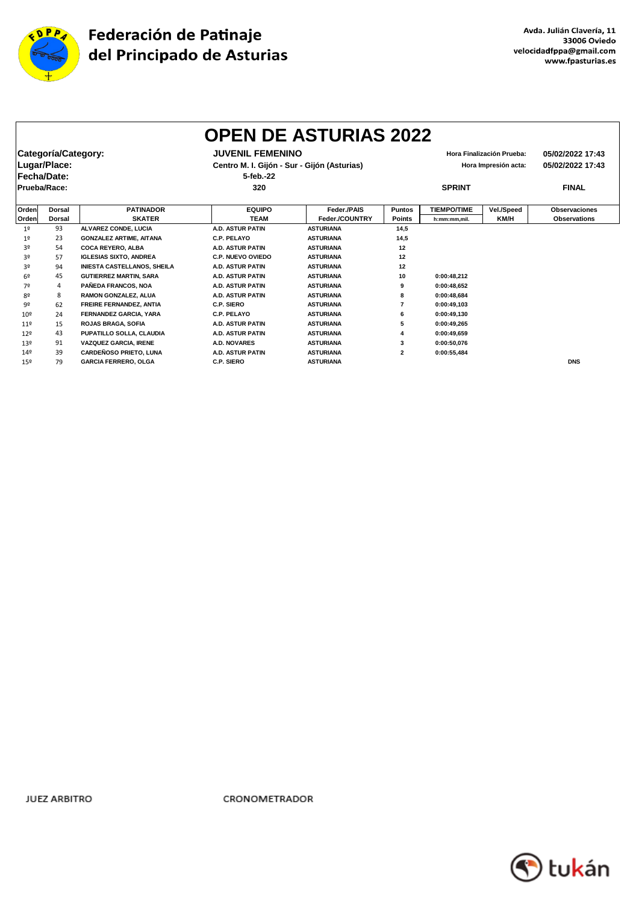

 $\mathsf{r}$ 

٦

| <b>OPEN DE ASTURIAS 2022</b> |                                   |                                    |                                             |                  |               |                      |                           |                      |
|------------------------------|-----------------------------------|------------------------------------|---------------------------------------------|------------------|---------------|----------------------|---------------------------|----------------------|
|                              | <b>Categoría/Category:</b>        |                                    | <b>JUVENIL FEMENINO</b>                     |                  |               |                      | Hora Finalización Prueba: | 05/02/2022 17:43     |
|                              | Lugar/Place:                      |                                    | Centro M. I. Gijón - Sur - Gijón (Asturias) |                  |               | Hora Impresión acta: | 05/02/2022 17:43          |                      |
|                              | Fecha/Date:                       |                                    | 5-feb.-22                                   |                  |               |                      |                           |                      |
|                              | Prueba/Race:                      |                                    | 320                                         | <b>SPRINT</b>    |               |                      | <b>FINAL</b>              |                      |
| Orden                        | <b>PATINADOR</b><br><b>Dorsal</b> |                                    | <b>EQUIPO</b>                               | Feder./PAIS      | <b>Puntos</b> | <b>TIEMPO/TIME</b>   | Vel./Speed                | <b>Observaciones</b> |
| Orden                        | <b>Dorsal</b>                     | <b>SKATER</b>                      | <b>TEAM</b>                                 | Feder./COUNTRY   | <b>Points</b> | h:mm:mm,mil.         | <b>KM/H</b>               | <b>Observations</b>  |
| 1 <sup>°</sup>               | 93                                | ALVAREZ CONDE, LUCIA               | A.D. ASTUR PATIN                            | <b>ASTURIANA</b> | 14,5          |                      |                           |                      |
| 1 <sup>°</sup>               | 23                                | <b>GONZALEZ ARTIME, AITANA</b>     | <b>C.P. PELAYO</b>                          | <b>ASTURIANA</b> | 14,5          |                      |                           |                      |
| 3º                           | 54                                | COCA REYERO, ALBA                  | <b>A.D. ASTUR PATIN</b>                     | <b>ASTURIANA</b> | 12            |                      |                           |                      |
| 3º                           | 57                                | <b>IGLESIAS SIXTO, ANDREA</b>      | <b>C.P. NUEVO OVIEDO</b>                    | <b>ASTURIANA</b> | 12            |                      |                           |                      |
| 30                           | 94                                | <b>INIESTA CASTELLANOS, SHEILA</b> | <b>A.D. ASTUR PATIN</b>                     | <b>ASTURIANA</b> | 12            |                      |                           |                      |
| 62                           | 45                                | <b>GUTIERREZ MARTIN, SARA</b>      | <b>A.D. ASTUR PATIN</b>                     | <b>ASTURIANA</b> | 10            | 0:00:48,212          |                           |                      |
| 7º                           | 4                                 | PAÑEDA FRANCOS, NOA                | <b>A.D. ASTUR PATIN</b>                     | <b>ASTURIANA</b> | 9             | 0:00:48,652          |                           |                      |
| 8º                           | 8                                 | RAMON GONZALEZ, ALUA               | <b>A.D. ASTUR PATIN</b>                     | <b>ASTURIANA</b> | ឧ             | 0:00:48,684          |                           |                      |
| 92                           | 62                                | <b>FREIRE FERNANDEZ, ANTIA</b>     | C.P. SIERO                                  | <b>ASTURIANA</b> |               | 0:00:49,103          |                           |                      |
| $10^{9}$                     | 24                                | FERNANDEZ GARCIA, YARA             | <b>C.P. PELAYO</b>                          | <b>ASTURIANA</b> |               | 0:00:49,130          |                           |                      |
| 11 <sup>°</sup>              | 15                                | <b>ROJAS BRAGA, SOFIA</b>          | <b>A.D. ASTUR PATIN</b>                     | <b>ASTURIANA</b> | 5             | 0:00:49,265          |                           |                      |
| 12 <sup>°</sup>              | 43                                | PUPATILLO SOLLA, CLAUDIA           | <b>A.D. ASTUR PATIN</b>                     | <b>ASTURIANA</b> |               | 0:00:49,659          |                           |                      |
| 13 <sup>°</sup>              | 91                                | <b>VAZQUEZ GARCIA, IRENE</b>       | <b>A.D. NOVARES</b>                         | <b>ASTURIANA</b> | 3             | 0:00:50,076          |                           |                      |
| 14º                          | 39                                | <b>CARDEÑOSO PRIETO, LUNA</b>      | <b>A.D. ASTUR PATIN</b>                     | <b>ASTURIANA</b> | $\mathbf{2}$  | 0:00:55,484          |                           |                      |
| 159                          | 79                                | <b>GARCIA FERRERO, OLGA</b>        | C.P. SIERO                                  | <b>ASTURIANA</b> |               |                      |                           | <b>DNS</b>           |

**JUEZ ARBITRO** 

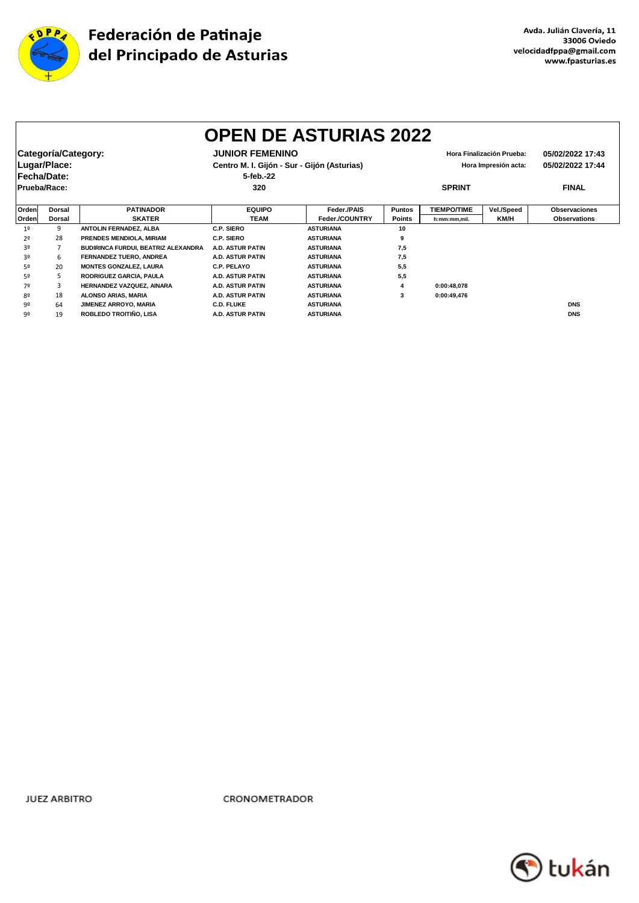

|                |                     |                                     |                                                                     | <b>OPEN DE ASTURIAS 2022</b> |               |                    |                  |                      |
|----------------|---------------------|-------------------------------------|---------------------------------------------------------------------|------------------------------|---------------|--------------------|------------------|----------------------|
|                | Categoría/Category: |                                     | <b>JUNIOR FEMENINO</b><br>Hora Finalización Prueba:                 |                              |               |                    | 05/02/2022 17:43 |                      |
|                | Lugar/Place:        |                                     | Centro M. I. Gijón - Sur - Gijón (Asturias)<br>Hora Impresión acta: |                              |               | 05/02/2022 17:44   |                  |                      |
|                | Fecha/Date:         |                                     | 5-feb.-22                                                           |                              |               |                    |                  |                      |
|                | Prueba/Race:        |                                     | 320                                                                 |                              |               | <b>SPRINT</b>      |                  | <b>FINAL</b>         |
| Orden          | Dorsal              | <b>PATINADOR</b>                    | <b>EQUIPO</b>                                                       | Feder./PAIS                  | <b>Puntos</b> | <b>TIEMPO/TIME</b> | Vel./Speed       | <b>Observaciones</b> |
| Orden          | Dorsal              | <b>SKATER</b>                       | <b>TEAM</b>                                                         | Feder./COUNTRY               | <b>Points</b> | h:mm:mm.mil.       | KM/H             | <b>Observations</b>  |
| 1 <sup>°</sup> | 9                   | ANTOLIN FERNADEZ, ALBA              | C.P. SIERO                                                          | <b>ASTURIANA</b>             | 10            |                    |                  |                      |
| 2º             | 28                  | PRENDES MENDIOLA, MIRIAM            | C.P. SIERO                                                          | <b>ASTURIANA</b>             | 9             |                    |                  |                      |
| 30             |                     | BUDIRINCA FURDUI, BEATRIZ ALEXANDRA | <b>A.D. ASTUR PATIN</b>                                             | <b>ASTURIANA</b>             | 7,5           |                    |                  |                      |
| 30             | 6                   | FERNANDEZ TUERO, ANDREA             | A.D. ASTUR PATIN                                                    | <b>ASTURIANA</b>             | 7,5           |                    |                  |                      |
| 5º             | 20                  | <b>MONTES GONZALEZ, LAURA</b>       | <b>C.P. PELAYO</b>                                                  | <b>ASTURIANA</b>             | 5,5           |                    |                  |                      |
| 5º             | 5                   | RODRIGUEZ GARCIA, PAULA             | A.D. ASTUR PATIN                                                    | <b>ASTURIANA</b>             | 5,5           |                    |                  |                      |
| 7º             | 3                   | HERNANDEZ VAZQUEZ, AINARA           | A.D. ASTUR PATIN                                                    | <b>ASTURIANA</b>             | 4             | 0:00:48,078        |                  |                      |
| 80             | 18                  | ALONSO ARIAS, MARIA                 | <b>A.D. ASTUR PATIN</b>                                             | <b>ASTURIANA</b>             | 3             | 0:00:49,476        |                  |                      |
| 92             | 64                  | JIMENEZ ARROYO, MARIA               | <b>C.D. FLUKE</b>                                                   | <b>ASTURIANA</b>             |               |                    |                  | <b>DNS</b>           |
| 9º             | 19                  | ROBLEDO TROITIÑO, LISA              | <b>A.D. ASTUR PATIN</b>                                             | <b>ASTURIANA</b>             |               |                    |                  | <b>DNS</b>           |

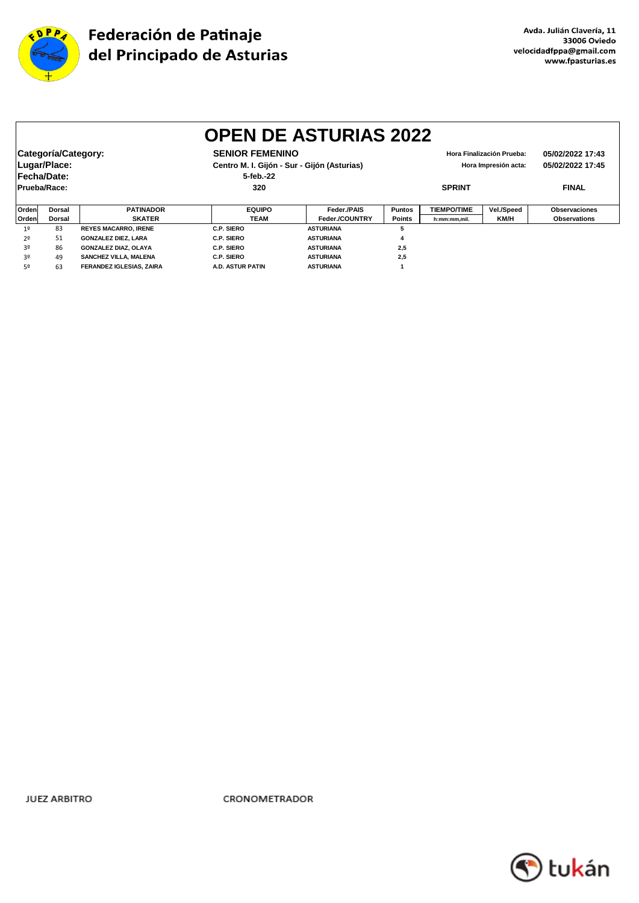

| <b>OPEN DE ASTURIAS 2022</b> |                     |                                 |                                             |                  |                                          |                    |                           |                      |  |
|------------------------------|---------------------|---------------------------------|---------------------------------------------|------------------|------------------------------------------|--------------------|---------------------------|----------------------|--|
|                              | Categoría/Category: |                                 | <b>SENIOR FEMENINO</b>                      |                  |                                          |                    | Hora Finalización Prueba: | 05/02/2022 17:43     |  |
|                              | Lugar/Place:        |                                 | Centro M. I. Gijón - Sur - Gijón (Asturias) |                  | 05/02/2022 17:45<br>Hora Impresión acta: |                    |                           |                      |  |
| Fecha/Date:                  |                     |                                 | 5-feb.-22                                   |                  |                                          |                    |                           |                      |  |
|                              | Prueba/Race:        |                                 | 320                                         |                  | <b>SPRINT</b>                            |                    |                           | <b>FINAL</b>         |  |
|                              |                     |                                 |                                             |                  |                                          |                    |                           |                      |  |
| Orden                        | <b>Dorsal</b>       | <b>PATINADOR</b>                | <b>EQUIPO</b>                               | Feder./PAIS      | Puntos                                   | <b>TIEMPO/TIME</b> | Vel./Speed                | <b>Observaciones</b> |  |
| Orden                        | <b>Dorsal</b>       | <b>SKATER</b>                   | <b>TEAM</b>                                 | Feder./COUNTRY   | <b>Points</b>                            | h:mm:mm,mil.       | KM/H                      | <b>Observations</b>  |  |
| 19                           | 83                  | <b>REYES MACARRO, IRENE</b>     | C.P. SIERO                                  | <b>ASTURIANA</b> | 5                                        |                    |                           |                      |  |
| 2º                           | 51                  | <b>GONZALEZ DIEZ, LARA</b>      | C.P. SIERO                                  | <b>ASTURIANA</b> | 4                                        |                    |                           |                      |  |
| 30                           | 86                  | <b>GONZALEZ DIAZ, OLAYA</b>     | C.P. SIERO                                  | <b>ASTURIANA</b> | 2,5                                      |                    |                           |                      |  |
| 30                           | 49                  | SANCHEZ VILLA, MALENA           | C.P. SIERO                                  | <b>ASTURIANA</b> | 2,5                                      |                    |                           |                      |  |
| 5º                           | 63                  | <b>FERANDEZ IGLESIAS, ZAIRA</b> | <b>A.D. ASTUR PATIN</b>                     | <b>ASTURIANA</b> |                                          |                    |                           |                      |  |

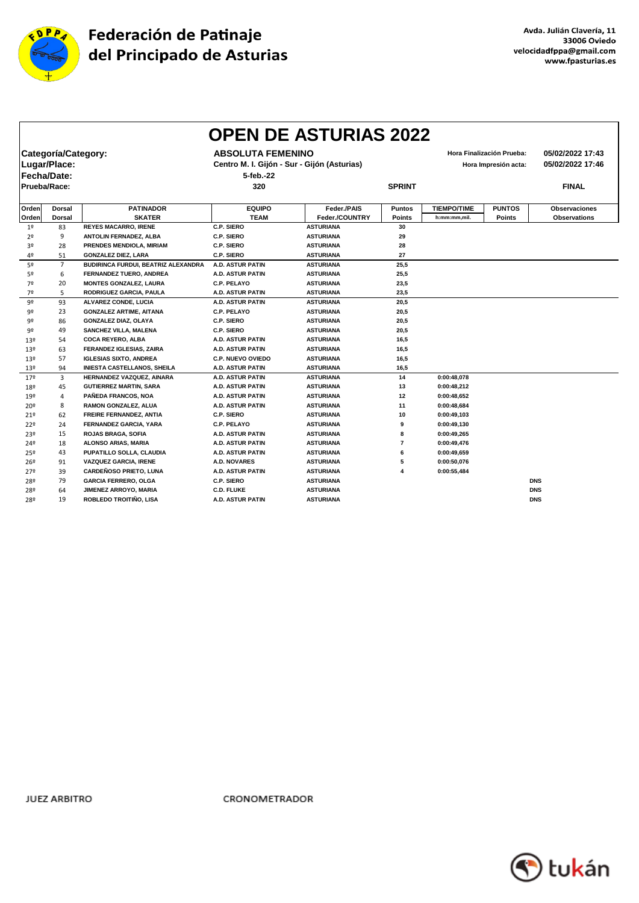

|                |                     |                                     |                                             | <b>OPEN DE ASTURIAS 2022</b> |                |                    |                           |                      |
|----------------|---------------------|-------------------------------------|---------------------------------------------|------------------------------|----------------|--------------------|---------------------------|----------------------|
|                |                     |                                     |                                             |                              |                |                    |                           |                      |
|                | Categoría/Category: |                                     | <b>ABSOLUTA FEMENINO</b>                    |                              |                |                    | Hora Finalización Prueba: | 05/02/2022 17:43     |
|                | Lugar/Place:        |                                     | Centro M. I. Gijón - Sur - Gijón (Asturias) |                              |                |                    | Hora Impresión acta:      | 05/02/2022 17:46     |
|                | Fecha/Date:         |                                     | 5-feb.-22                                   |                              |                |                    |                           |                      |
| Prueba/Race:   |                     |                                     | 320                                         |                              | <b>SPRINT</b>  |                    |                           | <b>FINAL</b>         |
|                |                     |                                     |                                             |                              |                |                    |                           |                      |
| Orden          | <b>Dorsal</b>       | <b>PATINADOR</b>                    | <b>EQUIPO</b>                               | Feder./PAIS                  | <b>Puntos</b>  | <b>TIEMPO/TIME</b> | <b>PUNTOS</b>             | <b>Observaciones</b> |
| Orden          | <b>Dorsal</b>       | <b>SKATER</b>                       | <b>TEAM</b>                                 | Feder./COUNTRY               | <b>Points</b>  | h:mm:mm,mil.       | <b>Points</b>             | <b>Observations</b>  |
| 1 <sup>°</sup> | 83                  | <b>REYES MACARRO, IRENE</b>         | C.P. SIERO                                  | <b>ASTURIANA</b>             | 30             |                    |                           |                      |
| 2º             | 9                   | ANTOLIN FERNADEZ, ALBA              | C.P. SIERO                                  | <b>ASTURIANA</b>             | 29             |                    |                           |                      |
| 3º             | 28                  | PRENDES MENDIOLA, MIRIAM            | C.P. SIERO                                  | <b>ASTURIANA</b>             | 28             |                    |                           |                      |
| 4º             | 51                  | <b>GONZALEZ DIEZ, LARA</b>          | C.P. SIERO                                  | <b>ASTURIANA</b>             | 27             |                    |                           |                      |
| 5º             | $\overline{7}$      | BUDIRINCA FURDUI, BEATRIZ ALEXANDRA | A.D. ASTUR PATIN                            | <b>ASTURIANA</b>             | 25,5           |                    |                           |                      |
| 52             | 6                   | FERNANDEZ TUERO, ANDREA             | <b>A.D. ASTUR PATIN</b>                     | <b>ASTURIANA</b>             | 25,5           |                    |                           |                      |
| 7º             | 20                  | <b>MONTES GONZALEZ, LAURA</b>       | C.P. PELAYO                                 | <b>ASTURIANA</b>             | 23,5           |                    |                           |                      |
| 7º             | 5                   | RODRIGUEZ GARCIA, PAULA             | <b>A.D. ASTUR PATIN</b>                     | <b>ASTURIANA</b>             | 23.5           |                    |                           |                      |
| 92             | 93                  | ALVAREZ CONDE, LUCIA                | A.D. ASTUR PATIN                            | <b>ASTURIANA</b>             | 20,5           |                    |                           |                      |
| 92             | 23                  | <b>GONZALEZ ARTIME, AITANA</b>      | <b>C.P. PELAYO</b>                          | <b>ASTURIANA</b>             | 20,5           |                    |                           |                      |
| 92             | 86                  | GONZALEZ DIAZ, OLAYA                | <b>C.P. SIERO</b>                           | <b>ASTURIANA</b>             | 20,5           |                    |                           |                      |
| 92             | 49                  | SANCHEZ VILLA, MALENA               | C.P. SIERO                                  | <b>ASTURIANA</b>             | 20,5           |                    |                           |                      |
| 13º            | 54                  | <b>COCA REYERO, ALBA</b>            | A.D. ASTUR PATIN                            | <b>ASTURIANA</b>             | 16,5           |                    |                           |                      |
| 13º            | 63                  | FERANDEZ IGLESIAS, ZAIRA            | <b>A.D. ASTUR PATIN</b>                     | <b>ASTURIANA</b>             | 16,5           |                    |                           |                      |
| 13º            | 57                  | <b>IGLESIAS SIXTO, ANDREA</b>       | <b>C.P. NUEVO OVIEDO</b>                    | <b>ASTURIANA</b>             | 16,5           |                    |                           |                      |
| 13º            | 94                  | <b>INIESTA CASTELLANOS, SHEILA</b>  | <b>A.D. ASTUR PATIN</b>                     | <b>ASTURIANA</b>             | 16,5           |                    |                           |                      |
| 179            | 3                   | HERNANDEZ VAZQUEZ, AINARA           | A.D. ASTUR PATIN                            | <b>ASTURIANA</b>             | 14             | 0:00:48,078        |                           |                      |
| 18º            | 45                  | <b>GUTIERREZ MARTIN, SARA</b>       | <b>A.D. ASTUR PATIN</b>                     | ASTURIANA                    | 13             | 0:00:48,212        |                           |                      |
| 192            | $\overline{4}$      | PAÑEDA FRANCOS, NOA                 | A.D. ASTUR PATIN                            | <b>ASTURIANA</b>             | 12             | 0:00:48.652        |                           |                      |
| 20º            | 8                   | RAMON GONZALEZ, ALUA                | <b>A.D. ASTUR PATIN</b>                     | <b>ASTURIANA</b>             | 11             | 0:00:48,684        |                           |                      |
| 219            | 62                  | FREIRE FERNANDEZ, ANTIA             | C.P. SIERO                                  | <b>ASTURIANA</b>             | 10             | 0:00:49,103        |                           |                      |
| 22º            | 24                  | FERNANDEZ GARCIA, YARA              | <b>C.P. PELAYO</b>                          | <b>ASTURIANA</b>             | 9              | 0:00:49,130        |                           |                      |
| 23º            | 15                  | <b>ROJAS BRAGA, SOFIA</b>           | <b>A.D. ASTUR PATIN</b>                     | <b>ASTURIANA</b>             | 8              | 0:00:49,265        |                           |                      |
| 249            | 18                  | ALONSO ARIAS, MARIA                 | <b>A.D. ASTUR PATIN</b>                     | <b>ASTURIANA</b>             | $\overline{7}$ | 0:00:49,476        |                           |                      |
| 25º            | 43                  | PUPATILLO SOLLA, CLAUDIA            | A.D. ASTUR PATIN                            | <b>ASTURIANA</b>             | 6              | 0:00:49,659        |                           |                      |
| 26º            | 91                  | <b>VAZQUEZ GARCIA, IRENE</b>        | <b>A.D. NOVARES</b>                         | <b>ASTURIANA</b>             | 5              | 0:00:50,076        |                           |                      |
| 27º            | 39                  | <b>CARDEÑOSO PRIETO, LUNA</b>       | <b>A.D. ASTUR PATIN</b>                     | <b>ASTURIANA</b>             | 4              | 0:00:55,484        |                           |                      |
| 289            | 79                  | <b>GARCIA FERRERO, OLGA</b>         | <b>C.P. SIERO</b>                           | <b>ASTURIANA</b>             |                |                    |                           | <b>DNS</b>           |
| 289            | 64                  | JIMENEZ ARROYO, MARIA               | <b>C.D. FLUKE</b>                           | <b>ASTURIANA</b>             |                |                    |                           | <b>DNS</b>           |
| 289            | 19                  | ROBLEDO TROITIÑO, LISA              | <b>A.D. ASTUR PATIN</b>                     | <b>ASTURIANA</b>             |                |                    |                           | <b>DNS</b>           |
|                |                     |                                     |                                             |                              |                |                    |                           |                      |

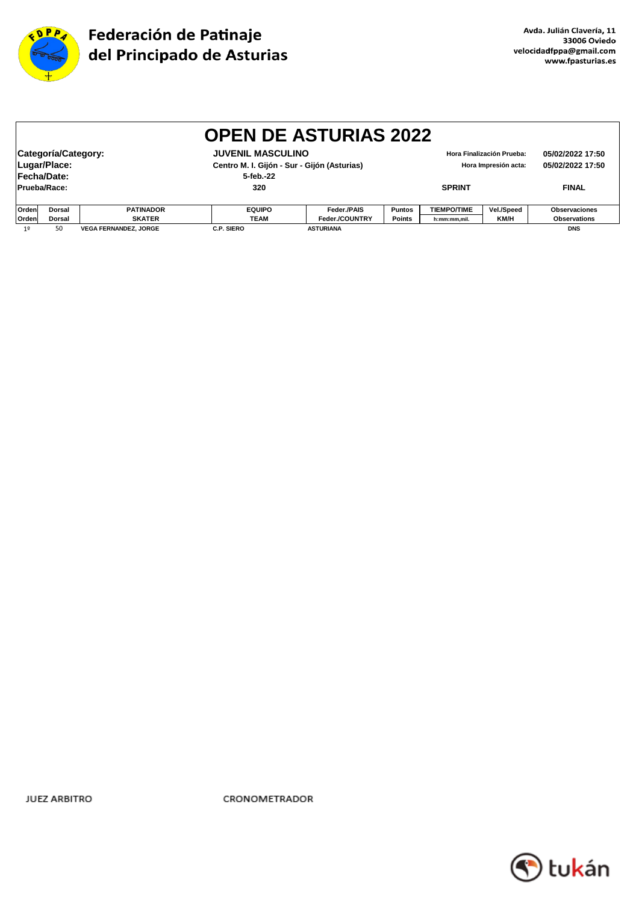

|                             |                                                                                                                                                                                                                          |                              |                   | <b>OPEN DE ASTURIAS 2022</b> |               |                    |            |                      |  |
|-----------------------------|--------------------------------------------------------------------------------------------------------------------------------------------------------------------------------------------------------------------------|------------------------------|-------------------|------------------------------|---------------|--------------------|------------|----------------------|--|
|                             | Categoría/Category:<br><b>JUVENIL MASCULINO</b><br>05/02/2022 17:50<br>Hora Finalización Prueba:<br>Lugar/Place:<br>Centro M. I. Gijón - Sur - Gijón (Asturias)<br>05/02/2022 17:50<br>Hora Impresión acta:<br>5-feb.-22 |                              |                   |                              |               |                    |            |                      |  |
| Fecha/Date:<br>Prueba/Race: |                                                                                                                                                                                                                          |                              | 320               |                              |               | <b>SPRINT</b>      |            | <b>FINAL</b>         |  |
| <b>Orden</b>                | Dorsal                                                                                                                                                                                                                   | <b>PATINADOR</b>             | <b>EQUIPO</b>     | Feder./PAIS                  | <b>Puntos</b> | <b>TIEMPO/TIME</b> | Vel./Speed | <b>Observaciones</b> |  |
| Orden                       | <b>Dorsal</b>                                                                                                                                                                                                            | <b>SKATER</b>                | TEAM              | <b>Feder./COUNTRY</b>        | <b>Points</b> | h:mm:mm.mil.       | KM/H       | <b>Observations</b>  |  |
| 1 <sup>°</sup>              | 50                                                                                                                                                                                                                       | <b>VEGA FERNANDEZ, JORGE</b> | <b>C.P. SIERO</b> | <b>ASTURIANA</b>             |               |                    |            | <b>DNS</b>           |  |

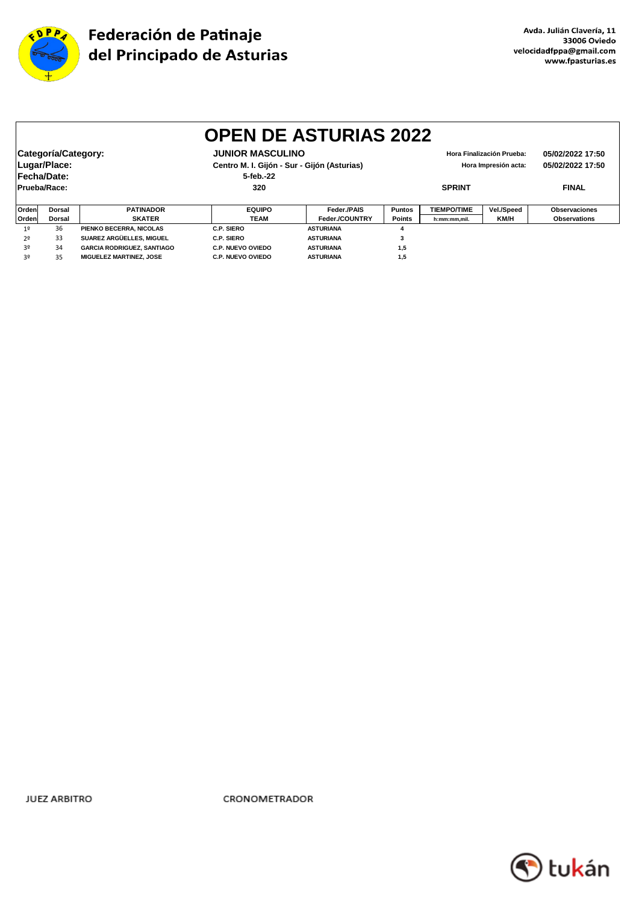

|                |                     |                                   |                                             | <b>OPEN DE ASTURIAS 2022</b> |               |                    |                                          |                      |  |
|----------------|---------------------|-----------------------------------|---------------------------------------------|------------------------------|---------------|--------------------|------------------------------------------|----------------------|--|
|                | Categoría/Category: |                                   | <b>JUNIOR MASCULINO</b>                     |                              |               |                    | Hora Finalización Prueba:                | 05/02/2022 17:50     |  |
|                | Lugar/Place:        |                                   | Centro M. I. Gijón - Sur - Gijón (Asturias) |                              |               |                    | 05/02/2022 17:50<br>Hora Impresión acta: |                      |  |
|                | Fecha/Date:         |                                   | 5-feb.-22                                   |                              |               |                    |                                          |                      |  |
|                | Prueba/Race:        |                                   | 320                                         |                              |               | <b>SPRINT</b>      |                                          | <b>FINAL</b>         |  |
|                |                     |                                   |                                             |                              |               |                    |                                          |                      |  |
| Orden          | <b>Dorsal</b>       | <b>PATINADOR</b>                  | <b>EQUIPO</b>                               | Feder./PAIS                  | Puntos        | <b>TIEMPO/TIME</b> | Vel./Speed                               | <b>Observaciones</b> |  |
| Orden          | Dorsal              | <b>SKATER</b>                     | <b>TEAM</b>                                 | Feder./COUNTRY               | <b>Points</b> | h:mm:mm,mil.       | <b>KM/H</b>                              | <b>Observations</b>  |  |
| 1 <sup>°</sup> | 36                  | PIENKO BECERRA, NICOLAS           | C.P. SIERO                                  | <b>ASTURIANA</b>             | 4             |                    |                                          |                      |  |
| 2º             | 33                  | SUAREZ ARGÜELLES. MIGUEL          | C.P. SIERO                                  | <b>ASTURIANA</b>             | 3             |                    |                                          |                      |  |
| 3º             | 34                  | <b>GARCIA RODRIGUEZ, SANTIAGO</b> | <b>C.P. NUEVO OVIEDO</b>                    | <b>ASTURIANA</b>             | 1,5           |                    |                                          |                      |  |
| 3º             | 35                  | <b>MIGUELEZ MARTINEZ, JOSE</b>    | <b>C.P. NUEVO OVIEDO</b>                    | <b>ASTURIANA</b>             | 1,5           |                    |                                          |                      |  |

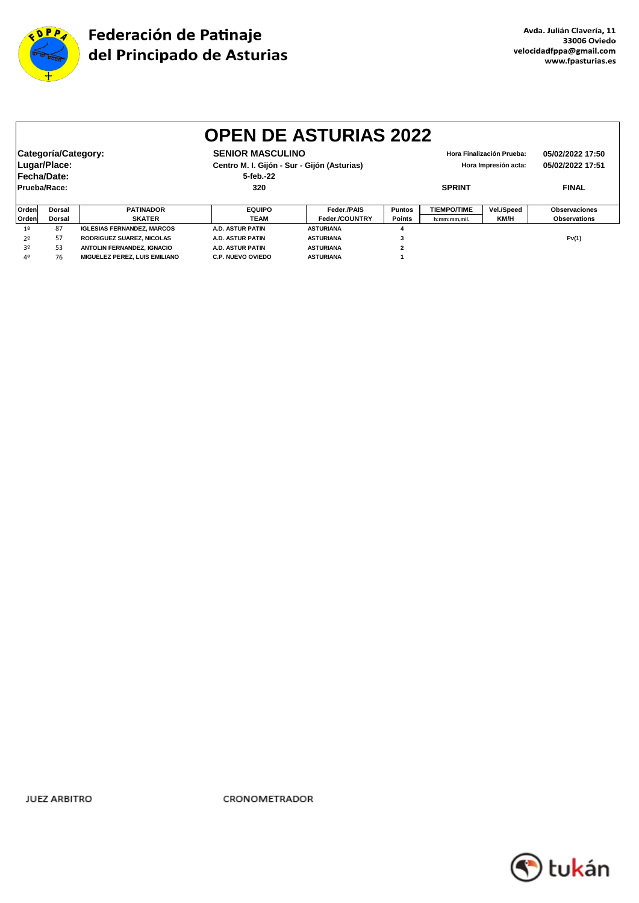

|                |                     |                                   |                                             | <b>OPEN DE ASTURIAS 2022</b> |                |                    |                           |                      |
|----------------|---------------------|-----------------------------------|---------------------------------------------|------------------------------|----------------|--------------------|---------------------------|----------------------|
|                |                     |                                   |                                             |                              |                |                    |                           |                      |
|                | Categoría/Category: |                                   | <b>SENIOR MASCULINO</b>                     |                              |                |                    | Hora Finalización Prueba: | 05/02/2022 17:50     |
|                | Lugar/Place:        |                                   | Centro M. I. Gijón - Sur - Gijón (Asturias) |                              |                |                    | Hora Impresión acta:      | 05/02/2022 17:51     |
|                | Fecha/Date:         |                                   | 5-feb.-22                                   |                              |                |                    |                           |                      |
|                | Prueba/Race:        |                                   | 320                                         |                              |                | <b>SPRINT</b>      |                           | <b>FINAL</b>         |
|                |                     |                                   |                                             |                              |                |                    |                           |                      |
| <b>Orden</b>   | Dorsal              | <b>PATINADOR</b>                  | <b>EQUIPO</b>                               | Feder./PAIS                  | <b>Puntos</b>  | <b>TIEMPO/TIME</b> | Vel./Speed                | <b>Observaciones</b> |
| <b>Orden</b>   | <b>Dorsal</b>       | <b>SKATER</b>                     | <b>TEAM</b>                                 | Feder./COUNTRY               | <b>Points</b>  | h:mm:mm,mil.       | KM/H                      | <b>Observations</b>  |
| 1 <sup>°</sup> | 87                  | <b>IGLESIAS FERNANDEZ, MARCOS</b> | A.D. ASTUR PATIN                            | <b>ASTURIANA</b>             | 4              |                    |                           |                      |
| 2º             | 57                  | <b>RODRIGUEZ SUAREZ, NICOLAS</b>  | A.D. ASTUR PATIN                            | <b>ASTURIANA</b>             | 3              |                    |                           | Pv(1)                |
| 3º             | 53                  | ANTOLIN FERNANDEZ, IGNACIO        | <b>A.D. ASTUR PATIN</b>                     | <b>ASTURIANA</b>             | $\overline{2}$ |                    |                           |                      |
| 4º             | 76                  | MIGUELEZ PEREZ. LUIS EMILIANO     | <b>C.P. NUEVO OVIEDO</b>                    | <b>ASTURIANA</b>             |                |                    |                           |                      |

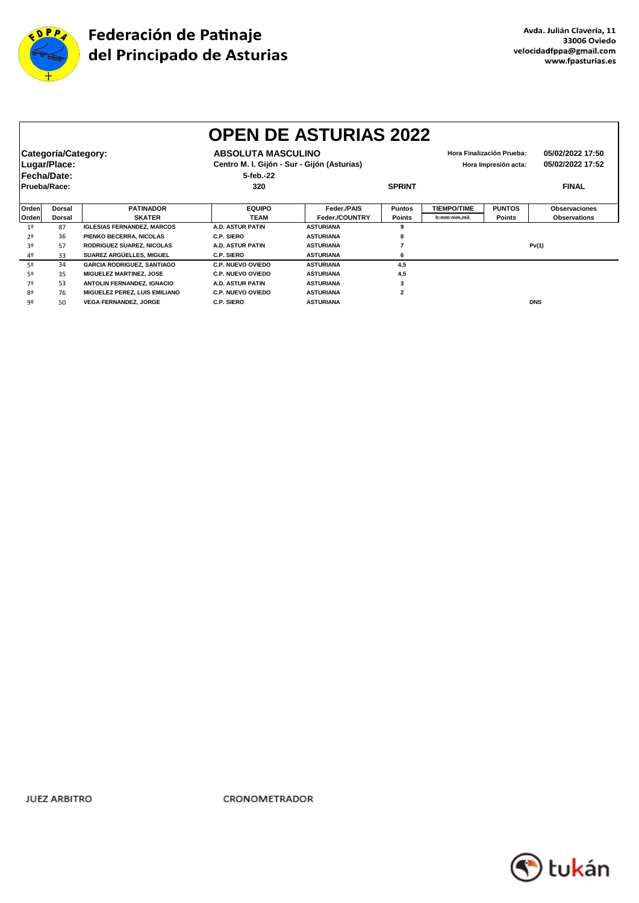

|              |                     |                                   |                           | <b>OPEN DE ASTURIAS 2022</b>                                        |                         |                    |                           |                      |
|--------------|---------------------|-----------------------------------|---------------------------|---------------------------------------------------------------------|-------------------------|--------------------|---------------------------|----------------------|
|              | Categoría/Category: |                                   | <b>ABSOLUTA MASCULINO</b> |                                                                     |                         |                    | Hora Finalización Prueba: | 05/02/2022 17:50     |
|              | Lugar/Place:        |                                   |                           | Centro M. I. Gijón - Sur - Gijón (Asturias)<br>Hora Impresión acta: |                         |                    |                           | 05/02/2022 17:52     |
|              | Fecha/Date:         |                                   | 5-feb.-22                 |                                                                     |                         |                    |                           |                      |
| Prueba/Race: |                     |                                   | 320                       |                                                                     | <b>SPRINT</b>           |                    |                           | <b>FINAL</b>         |
|              |                     |                                   |                           |                                                                     |                         |                    |                           |                      |
| Orden        | <b>Dorsal</b>       | <b>PATINADOR</b>                  | <b>EQUIPO</b>             | Feder./PAIS                                                         | <b>Puntos</b>           | <b>TIEMPO/TIME</b> | <b>PUNTOS</b>             | <b>Observaciones</b> |
| Orden        | <b>Dorsal</b>       | <b>SKATER</b>                     | <b>TEAM</b>               | Feder./COUNTRY                                                      | <b>Points</b>           | h:mm:mm.mil.       | <b>Points</b>             | <b>Observations</b>  |
| 19           | 87                  | <b>IGLESIAS FERNANDEZ, MARCOS</b> | <b>A.D. ASTUR PATIN</b>   | <b>ASTURIANA</b>                                                    |                         |                    |                           |                      |
| 2º           | 36                  | PIENKO BECERRA, NICOLAS           | C.P. SIERO                | <b>ASTURIANA</b>                                                    | 8                       |                    |                           |                      |
| 3º           | 57                  | <b>RODRIGUEZ SUAREZ, NICOLAS</b>  | A.D. ASTUR PATIN          | <b>ASTURIANA</b>                                                    |                         |                    |                           | Pv(1)                |
| 4º           | 33                  | SUAREZ ARGÜELLES. MIGUEL          | C.P. SIERO                | <b>ASTURIANA</b>                                                    | 6                       |                    |                           |                      |
| 52           | 34                  | <b>GARCIA RODRIGUEZ, SANTIAGO</b> | <b>C.P. NUEVO OVIEDO</b>  | <b>ASTURIANA</b>                                                    | 4,5                     |                    |                           |                      |
| 52           | 35                  | <b>MIGUELEZ MARTINEZ, JOSE</b>    | <b>C.P. NUEVO OVIEDO</b>  | <b>ASTURIANA</b>                                                    | 4,5                     |                    |                           |                      |
| 7º           | 53                  | <b>ANTOLIN FERNANDEZ, IGNACIO</b> | A.D. ASTUR PATIN          | <b>ASTURIANA</b>                                                    | 3                       |                    |                           |                      |
| 8ō           | 76                  | MIGUELEZ PEREZ, LUIS EMILIANO     | <b>C.P. NUEVO OVIEDO</b>  | <b>ASTURIANA</b>                                                    | $\overline{\mathbf{2}}$ |                    |                           |                      |
| 9º           | 50                  | <b>VEGA FERNANDEZ, JORGE</b>      | C.P. SIERO                | <b>ASTURIANA</b>                                                    |                         |                    |                           | <b>DNS</b>           |

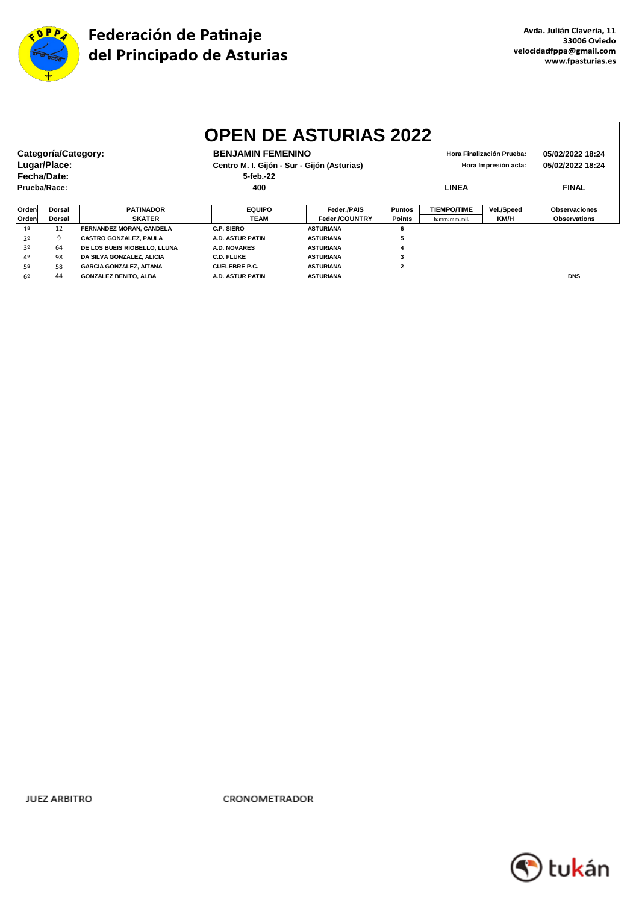

|                |                                                    |                                |                                                                                      | <b>OPEN DE ASTURIAS 2022</b> |               |                    |                                                   |                                      |
|----------------|----------------------------------------------------|--------------------------------|--------------------------------------------------------------------------------------|------------------------------|---------------|--------------------|---------------------------------------------------|--------------------------------------|
|                | Categoría/Category:<br>Lugar/Place:<br>Fecha/Date: |                                | <b>BENJAMIN FEMENINO</b><br>Centro M. I. Gijón - Sur - Gijón (Asturias)<br>5-feb.-22 |                              |               |                    | Hora Finalización Prueba:<br>Hora Impresión acta: | 05/02/2022 18:24<br>05/02/2022 18:24 |
|                | Prueba/Race:                                       |                                | 400                                                                                  |                              |               | <b>LINEA</b>       |                                                   | <b>FINAL</b>                         |
| Orden          | Dorsal                                             | <b>PATINADOR</b>               | <b>EQUIPO</b>                                                                        | Feder./PAIS                  | <b>Puntos</b> | <b>TIEMPO/TIME</b> | Vel./Speed                                        | <b>Observaciones</b>                 |
| Orden          | Dorsal                                             | <b>SKATER</b>                  | TEAM                                                                                 | Feder./COUNTRY               | <b>Points</b> | h:mm:mm,mil.       | KM/H                                              | <b>Observations</b>                  |
| 1 <sup>o</sup> | 12                                                 | FERNANDEZ MORAN, CANDELA       | C.P. SIERO                                                                           | <b>ASTURIANA</b>             | 6             |                    |                                                   |                                      |
| 2º             | 9                                                  | <b>CASTRO GONZALEZ, PAULA</b>  | <b>A.D. ASTUR PATIN</b>                                                              | <b>ASTURIANA</b>             | 5             |                    |                                                   |                                      |
| 30             | 64                                                 | DE LOS BUEIS RIOBELLO, LLUNA   | <b>A.D. NOVARES</b>                                                                  | <b>ASTURIANA</b>             |               |                    |                                                   |                                      |
| 4º             | 98                                                 | DA SILVA GONZALEZ. ALICIA      | <b>C.D. FLUKE</b>                                                                    | <b>ASTURIANA</b>             | 3             |                    |                                                   |                                      |
| 52             | 58                                                 | <b>GARCIA GONZALEZ, AITANA</b> | <b>CUELEBRE P.C.</b>                                                                 | <b>ASTURIANA</b>             | $\mathbf{2}$  |                    |                                                   |                                      |
| 62             | 44                                                 | <b>GONZALEZ BENITO, ALBA</b>   | A.D. ASTUR PATIN                                                                     | <b>ASTURIANA</b>             |               |                    |                                                   | <b>DNS</b>                           |

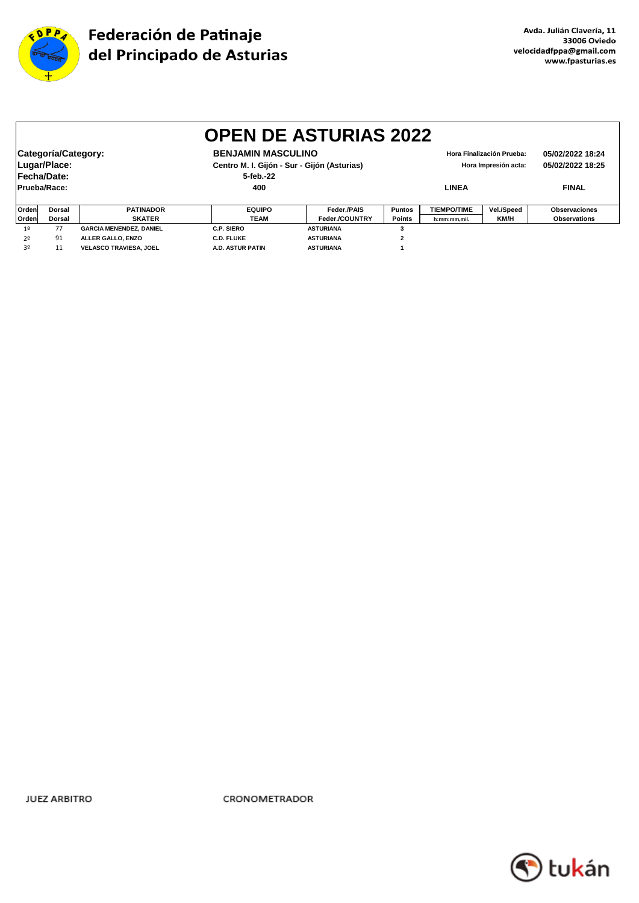

|        | <b>OPEN DE ASTURIAS 2022</b>                                                                                                                                                                                                             |                                |                         |                  |                |                    |             |                      |  |  |
|--------|------------------------------------------------------------------------------------------------------------------------------------------------------------------------------------------------------------------------------------------|--------------------------------|-------------------------|------------------|----------------|--------------------|-------------|----------------------|--|--|
|        | Categoría/Category:<br><b>BENJAMIN MASCULINO</b><br>05/02/2022 18:24<br>Hora Finalización Prueba:<br>Lugar/Place:<br>Centro M. I. Gijón - Sur - Gijón (Asturias)<br>05/02/2022 18:25<br>Hora Impresión acta:<br>Fecha/Date:<br>5-feb.-22 |                                |                         |                  |                |                    |             |                      |  |  |
|        | Prueba/Race:                                                                                                                                                                                                                             |                                | 400                     |                  |                | <b>LINEA</b>       |             | <b>FINAL</b>         |  |  |
| Ordenl | Dorsal                                                                                                                                                                                                                                   | <b>PATINADOR</b>               | <b>EQUIPO</b>           | Feder./PAIS      | <b>Puntos</b>  | <b>TIEMPO/TIME</b> | Vel./Speed  | <b>Observaciones</b> |  |  |
| Orden  | <b>Dorsal</b>                                                                                                                                                                                                                            | <b>SKATER</b>                  | <b>TEAM</b>             | Feder./COUNTRY   | <b>Points</b>  | h:mm:mm,mil.       | <b>KM/H</b> | <b>Observations</b>  |  |  |
| 19     | 77                                                                                                                                                                                                                                       | <b>GARCIA MENENDEZ, DANIEL</b> | C.P. SIERO              | <b>ASTURIANA</b> | 3              |                    |             |                      |  |  |
| 2º     | 91                                                                                                                                                                                                                                       | ALLER GALLO, ENZO              | <b>C.D. FLUKE</b>       | <b>ASTURIANA</b> | $\overline{2}$ |                    |             |                      |  |  |
| 3º     | 11                                                                                                                                                                                                                                       | <b>VELASCO TRAVIESA, JOEL</b>  | <b>A.D. ASTUR PATIN</b> | <b>ASTURIANA</b> |                |                    |             |                      |  |  |

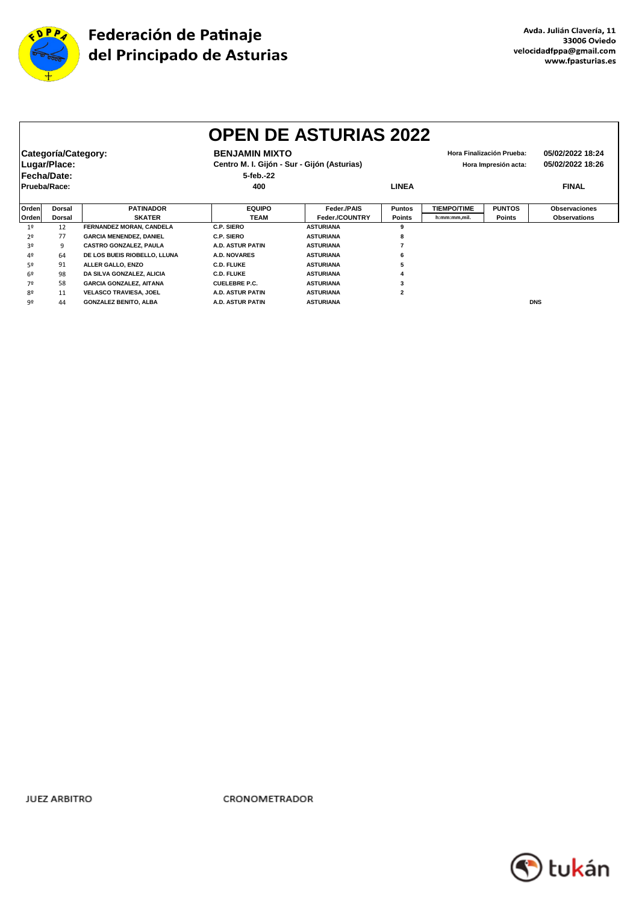

|                |                                                    |                                |                                                                                                                                        | <b>OPEN DE ASTURIAS 2022</b> |                         |                                      |               |                      |
|----------------|----------------------------------------------------|--------------------------------|----------------------------------------------------------------------------------------------------------------------------------------|------------------------------|-------------------------|--------------------------------------|---------------|----------------------|
|                | Categoría/Category:<br>Lugar/Place:<br>Fecha/Date: |                                | <b>BENJAMIN MIXTO</b><br>Hora Finalización Prueba:<br>Centro M. I. Gijón - Sur - Gijón (Asturias)<br>Hora Impresión acta:<br>5-feb.-22 |                              |                         | 05/02/2022 18:24<br>05/02/2022 18:26 |               |                      |
| Prueba/Race:   |                                                    |                                | 400                                                                                                                                    |                              | <b>LINEA</b>            |                                      |               | <b>FINAL</b>         |
| Orden          | Dorsal                                             | <b>PATINADOR</b>               | <b>EQUIPO</b>                                                                                                                          | Feder./PAIS                  | <b>Puntos</b>           | <b>TIEMPO/TIME</b>                   | <b>PUNTOS</b> | <b>Observaciones</b> |
| Orden          | <b>Dorsal</b>                                      | <b>SKATER</b>                  | <b>TEAM</b>                                                                                                                            | Feder./COUNTRY               | Points                  | h:mm:mm.mil.                         | <b>Points</b> | <b>Observations</b>  |
| 1 <sup>o</sup> | 12                                                 | FERNANDEZ MORAN, CANDELA       | C.P. SIERO                                                                                                                             | <b>ASTURIANA</b>             | 9                       |                                      |               |                      |
| 2º             | 77                                                 | <b>GARCIA MENENDEZ, DANIEL</b> | <b>C.P. SIERO</b>                                                                                                                      | <b>ASTURIANA</b>             | 8                       |                                      |               |                      |
| 3º             | 9                                                  | CASTRO GONZALEZ, PAULA         | <b>A.D. ASTUR PATIN</b>                                                                                                                | <b>ASTURIANA</b>             |                         |                                      |               |                      |
| 4º             | 64                                                 | DE LOS BUEIS RIOBELLO, LLUNA   | <b>A.D. NOVARES</b>                                                                                                                    | <b>ASTURIANA</b>             | 6                       |                                      |               |                      |
| 52             | 91                                                 | ALLER GALLO, ENZO              | <b>C.D. FLUKE</b>                                                                                                                      | <b>ASTURIANA</b>             | 5                       |                                      |               |                      |
| 69             | 98                                                 | DA SILVA GONZALEZ. ALICIA      | <b>C.D. FLUKE</b>                                                                                                                      | <b>ASTURIANA</b>             | 4                       |                                      |               |                      |
| 7º             | 58                                                 | <b>GARCIA GONZALEZ, AITANA</b> | <b>CUELEBRE P.C.</b>                                                                                                                   | <b>ASTURIANA</b>             | 3                       |                                      |               |                      |
| 80             | 11                                                 | <b>VELASCO TRAVIESA, JOEL</b>  | <b>A.D. ASTUR PATIN</b>                                                                                                                | <b>ASTURIANA</b>             | $\overline{\mathbf{2}}$ |                                      |               |                      |
| 9º             | 44                                                 | <b>GONZALEZ BENITO, ALBA</b>   | A.D. ASTUR PATIN                                                                                                                       | <b>ASTURIANA</b>             |                         |                                      |               | <b>DNS</b>           |

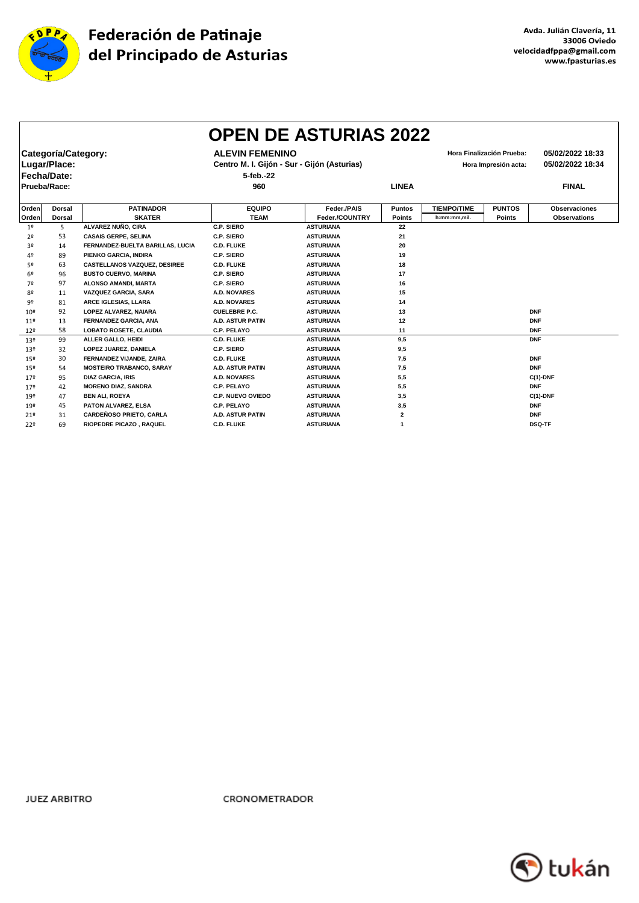

|                 |                     |                                     |                                             | <b>OPEN DE ASTURIAS 2022</b> |                |                    |                           |                      |
|-----------------|---------------------|-------------------------------------|---------------------------------------------|------------------------------|----------------|--------------------|---------------------------|----------------------|
|                 | Categoría/Category: |                                     | <b>ALEVIN FEMENINO</b>                      |                              |                |                    | Hora Finalización Prueba: | 05/02/2022 18:33     |
|                 | Lugar/Place:        |                                     | Centro M. I. Gijón - Sur - Gijón (Asturias) |                              |                |                    | Hora Impresión acta:      | 05/02/2022 18:34     |
|                 | Fecha/Date:         |                                     | 5-feb.-22                                   |                              |                |                    |                           |                      |
| Prueba/Race:    |                     |                                     | 960                                         |                              | <b>LINEA</b>   |                    |                           | <b>FINAL</b>         |
|                 |                     |                                     |                                             |                              |                |                    |                           |                      |
| Orden           | <b>Dorsal</b>       | <b>PATINADOR</b>                    | <b>EQUIPO</b>                               | Feder./PAIS                  | <b>Puntos</b>  | <b>TIEMPO/TIME</b> | <b>PUNTOS</b>             | <b>Observaciones</b> |
| Orden           | <b>Dorsal</b>       | <b>SKATER</b>                       | <b>TEAM</b>                                 | Feder./COUNTRY               | <b>Points</b>  | h:mm:mm,mil.       | <b>Points</b>             | <b>Observations</b>  |
| 1 <sup>o</sup>  | 5                   | ALVAREZ NUÑO, CIRA                  | C.P. SIERO                                  | <b>ASTURIANA</b>             | 22             |                    |                           |                      |
| 2 <sup>o</sup>  | 53                  | <b>CASAIS GERPE, SELINA</b>         | C.P. SIERO                                  | <b>ASTURIANA</b>             | 21             |                    |                           |                      |
| 3º              | 14                  | FERNANDEZ-BUELTA BARILLAS. LUCIA    | <b>C.D. FLUKE</b>                           | <b>ASTURIANA</b>             | 20             |                    |                           |                      |
| 4º              | 89                  | PIENKO GARCIA, INDIRA               | C.P. SIERO                                  | <b>ASTURIANA</b>             | 19             |                    |                           |                      |
| 52              | 63                  | <b>CASTELLANOS VAZQUEZ, DESIREE</b> | <b>C.D. FLUKE</b>                           | <b>ASTURIANA</b>             | 18             |                    |                           |                      |
| 6º              | 96                  | <b>BUSTO CUERVO, MARINA</b>         | C.P. SIERO                                  | <b>ASTURIANA</b>             | 17             |                    |                           |                      |
| 7º              | 97                  | ALONSO AMANDI, MARTA                | C.P. SIERO                                  | <b>ASTURIANA</b>             | 16             |                    |                           |                      |
| 80              | 11                  | VAZQUEZ GARCIA, SARA                | <b>A.D. NOVARES</b>                         | <b>ASTURIANA</b>             | 15             |                    |                           |                      |
| 92              | 81                  | ARCE IGLESIAS, LLARA                | A.D. NOVARES                                | <b>ASTURIANA</b>             | 14             |                    |                           |                      |
| 10 <sup>9</sup> | 92                  | LOPEZ ALVAREZ, NAIARA               | <b>CUELEBRE P.C.</b>                        | <b>ASTURIANA</b>             | 13             |                    |                           | <b>DNF</b>           |
| 11º             | 13                  | FERNANDEZ GARCIA, ANA               | <b>A.D. ASTUR PATIN</b>                     | <b>ASTURIANA</b>             | 12             |                    |                           | <b>DNF</b>           |
| 12 <sup>o</sup> | 58                  | <b>LOBATO ROSETE, CLAUDIA</b>       | <b>C.P. PELAYO</b>                          | <b>ASTURIANA</b>             | 11             |                    |                           | <b>DNF</b>           |
| 13 <sup>°</sup> | 99                  | ALLER GALLO, HEIDI                  | <b>C.D. FLUKE</b>                           | <b>ASTURIANA</b>             | 9,5            |                    |                           | <b>DNF</b>           |
| 13º             | 32                  | <b>LOPEZ JUAREZ, DANIELA</b>        | C.P. SIERO                                  | <b>ASTURIANA</b>             | 9,5            |                    |                           |                      |
| 15º             | 30                  | FERNANDEZ VIJANDE, ZAIRA            | <b>C.D. FLUKE</b>                           | <b>ASTURIANA</b>             | 7,5            |                    |                           | <b>DNF</b>           |
| 15º             | 54                  | <b>MOSTEIRO TRABANCO, SARAY</b>     | <b>A.D. ASTUR PATIN</b>                     | <b>ASTURIANA</b>             | 7,5            |                    |                           | <b>DNF</b>           |
| 179             | 95                  | <b>DIAZ GARCIA, IRIS</b>            | <b>A.D. NOVARES</b>                         | <b>ASTURIANA</b>             | 5,5            |                    |                           | $C(1)$ -DNF          |
| 179             | 42                  | <b>MORENO DIAZ, SANDRA</b>          | C.P. PELAYO                                 | <b>ASTURIANA</b>             | 5,5            |                    |                           | <b>DNF</b>           |
| 19º             | 47                  | <b>BEN ALI, ROEYA</b>               | <b>C.P. NUEVO OVIEDO</b>                    | <b>ASTURIANA</b>             | 3,5            |                    |                           | $C(1)$ -DNF          |
| 192             | 45                  | PATON ALVAREZ, ELSA                 | <b>C.P. PELAYO</b>                          | <b>ASTURIANA</b>             | 3,5            |                    |                           | <b>DNF</b>           |
| 21º             | 31                  | <b>CARDEÑOSO PRIETO, CARLA</b>      | <b>A.D. ASTUR PATIN</b>                     | <b>ASTURIANA</b>             | $\overline{2}$ |                    |                           | <b>DNF</b>           |
| 22º             | 69                  | RIOPEDRE PICAZO, RAQUEL             | <b>C.D. FLUKE</b>                           | <b>ASTURIANA</b>             | 1              |                    |                           | <b>DSQ-TF</b>        |

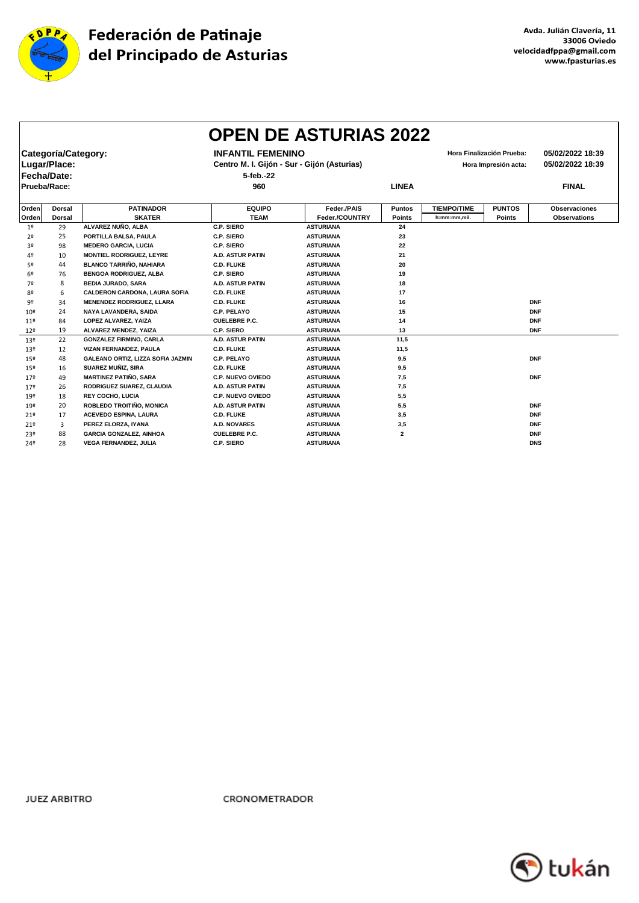

|                 |                     |                                      |                          | <b>OPEN DE ASTURIAS 2022</b>                                        |                |                    |                           |                      |
|-----------------|---------------------|--------------------------------------|--------------------------|---------------------------------------------------------------------|----------------|--------------------|---------------------------|----------------------|
|                 | Categoría/Category: |                                      | <b>INFANTIL FEMENINO</b> |                                                                     |                |                    | Hora Finalización Prueba: | 05/02/2022 18:39     |
|                 | Lugar/Place:        |                                      |                          | Centro M. I. Gijón - Sur - Gijón (Asturias)<br>Hora Impresión acta: |                |                    |                           | 05/02/2022 18:39     |
|                 | Fecha/Date:         |                                      | 5-feb.-22                |                                                                     |                |                    |                           |                      |
|                 | Prueba/Race:        |                                      | 960                      |                                                                     | <b>LINEA</b>   |                    |                           | <b>FINAL</b>         |
|                 |                     |                                      |                          |                                                                     |                |                    |                           |                      |
| Orden           | <b>Dorsal</b>       | <b>PATINADOR</b>                     | <b>EQUIPO</b>            | Feder./PAIS                                                         | <b>Puntos</b>  | <b>TIEMPO/TIME</b> | <b>PUNTOS</b>             | <b>Observaciones</b> |
| Orden           | <b>Dorsal</b>       | <b>SKATER</b>                        | <b>TEAM</b>              | Feder./COUNTRY                                                      | <b>Points</b>  | h:mm:mm.mil.       | <b>Points</b>             | <b>Observations</b>  |
| 1 <sup>o</sup>  | 29                  | ALVAREZ NUÑO. ALBA                   | C.P. SIERO               | <b>ASTURIANA</b>                                                    | 24             |                    |                           |                      |
| 2 <sup>o</sup>  | 25                  | PORTILLA BALSA, PAULA                | C.P. SIERO               | <b>ASTURIANA</b>                                                    | 23             |                    |                           |                      |
| 3º              | 98                  | <b>MEDERO GARCIA, LUCIA</b>          | C.P. SIERO               | <b>ASTURIANA</b>                                                    | 22             |                    |                           |                      |
| 4º              | 10                  | <b>MONTIEL RODRIGUEZ, LEYRE</b>      | <b>A.D. ASTUR PATIN</b>  | <b>ASTURIANA</b>                                                    | 21             |                    |                           |                      |
| 52              | 44                  | <b>BLANCO TARRIÑO, NAHIARA</b>       | <b>C.D. FLUKE</b>        | <b>ASTURIANA</b>                                                    | 20             |                    |                           |                      |
| 6º              | 76                  | <b>BENGOA RODRIGUEZ, ALBA</b>        | C.P. SIERO               | <b>ASTURIANA</b>                                                    | 19             |                    |                           |                      |
| 70              | 8                   | <b>BEDIA JURADO, SARA</b>            | <b>A.D. ASTUR PATIN</b>  | <b>ASTURIANA</b>                                                    | 18             |                    |                           |                      |
| 80              | 6                   | <b>CALDERON CARDONA, LAURA SOFIA</b> | <b>C.D. FLUKE</b>        | <b>ASTURIANA</b>                                                    | 17             |                    |                           |                      |
| 92              | 34                  | <b>MENENDEZ RODRIGUEZ, LLARA</b>     | <b>C.D. FLUKE</b>        | <b>ASTURIANA</b>                                                    | 16             |                    |                           | <b>DNF</b>           |
| 10 <sup>°</sup> | 24                  | NAYA LAVANDERA, SAIDA                | C.P. PELAYO              | <b>ASTURIANA</b>                                                    | 15             |                    |                           | <b>DNF</b>           |
| $11^{o}$        | 84                  | LOPEZ ALVAREZ, YAIZA                 | <b>CUELEBRE P.C.</b>     | <b>ASTURIANA</b>                                                    | 14             |                    |                           | <b>DNF</b>           |
| 12 <sup>o</sup> | 19                  | ALVAREZ MENDEZ, YAIZA                | C.P. SIERO               | <b>ASTURIANA</b>                                                    | 13             |                    |                           | <b>DNF</b>           |
| 13 <sup>°</sup> | 22                  | <b>GONZALEZ FIRMINO, CARLA</b>       | <b>A.D. ASTUR PATIN</b>  | <b>ASTURIANA</b>                                                    | 11,5           |                    |                           |                      |
| 13 <sup>°</sup> | 12                  | VIZAN FERNANDEZ, PAULA               | <b>C.D. FLUKE</b>        | <b>ASTURIANA</b>                                                    | 11,5           |                    |                           |                      |
| 15º             | 48                  | GALEANO ORTIZ, LIZZA SOFIA JAZMIN    | C.P. PELAYO              | <b>ASTURIANA</b>                                                    | 9,5            |                    |                           | <b>DNF</b>           |
| 15º             | 16                  | SUAREZ MUÑIZ, SIRA                   | <b>C.D. FLUKE</b>        | <b>ASTURIANA</b>                                                    | 9,5            |                    |                           |                      |
| 179             | 49                  | <b>MARTINEZ PATIÑO, SARA</b>         | <b>C.P. NUEVO OVIEDO</b> | <b>ASTURIANA</b>                                                    | 7,5            |                    |                           | <b>DNF</b>           |
| 179             | 26                  | RODRIGUEZ SUAREZ, CLAUDIA            | <b>A.D. ASTUR PATIN</b>  | <b>ASTURIANA</b>                                                    | 7,5            |                    |                           |                      |
| 192             | 18                  | <b>REY COCHO, LUCIA</b>              | <b>C.P. NUEVO OVIEDO</b> | <b>ASTURIANA</b>                                                    | 5,5            |                    |                           |                      |
| 19º             | 20                  | ROBLEDO TROITIÑO, MONICA             | <b>A.D. ASTUR PATIN</b>  | <b>ASTURIANA</b>                                                    | 5,5            |                    |                           | <b>DNF</b>           |
| 219             | 17                  | <b>ACEVEDO ESPINA, LAURA</b>         | <b>C.D. FLUKE</b>        | <b>ASTURIANA</b>                                                    | 3,5            |                    |                           | <b>DNF</b>           |
| 21 <sup>°</sup> | 3                   | PEREZ ELORZA, IYANA                  | <b>A.D. NOVARES</b>      | <b>ASTURIANA</b>                                                    | 3,5            |                    |                           | <b>DNF</b>           |
| 23º             | 88                  | <b>GARCIA GONZALEZ, AINHOA</b>       | <b>CUELEBRE P.C.</b>     | <b>ASTURIANA</b>                                                    | $\overline{2}$ |                    |                           | <b>DNF</b>           |
| 24º             | 28                  | <b>VEGA FERNANDEZ, JULIA</b>         | C.P. SIERO               | <b>ASTURIANA</b>                                                    |                |                    |                           | <b>DNS</b>           |

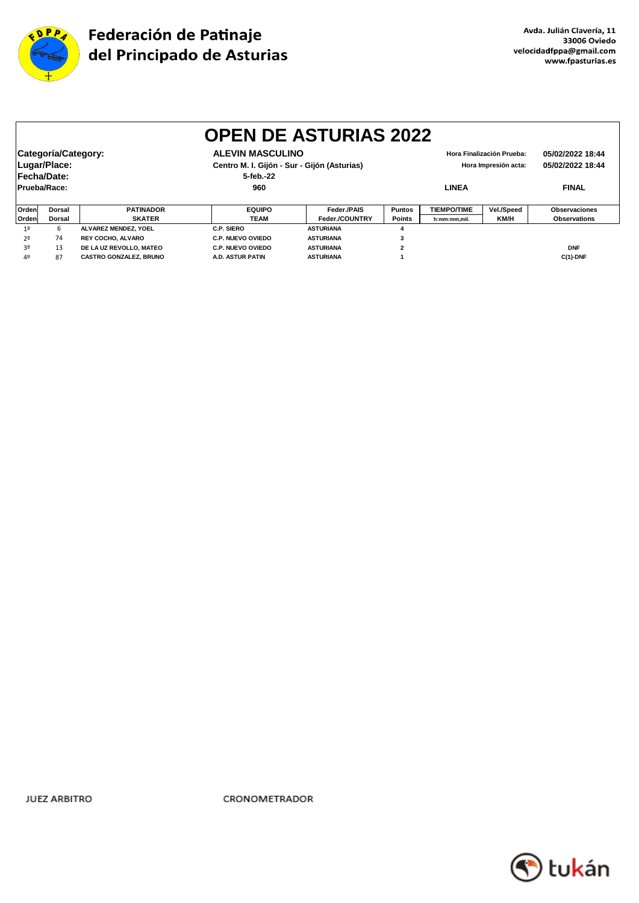

|                |                     |                               |                                             | <b>OPEN DE ASTURIAS 2022</b> |               |                                          |                           |                      |
|----------------|---------------------|-------------------------------|---------------------------------------------|------------------------------|---------------|------------------------------------------|---------------------------|----------------------|
|                |                     |                               |                                             |                              |               |                                          |                           |                      |
|                | Categoría/Category: |                               | <b>ALEVIN MASCULINO</b>                     |                              |               |                                          | Hora Finalización Prueba: | 05/02/2022 18:44     |
|                | Lugar/Place:        |                               | Centro M. I. Gijón - Sur - Gijón (Asturias) |                              |               | 05/02/2022 18:44<br>Hora Impresión acta: |                           |                      |
|                | Fecha/Date:         |                               | 5-feb.-22                                   |                              |               |                                          |                           |                      |
|                | Prueba/Race:        |                               | 960                                         |                              |               | <b>LINEA</b>                             |                           | <b>FINAL</b>         |
|                |                     |                               |                                             |                              |               |                                          |                           |                      |
| Orden          | Dorsal              | <b>PATINADOR</b>              | <b>EQUIPO</b>                               | Feder./PAIS                  | <b>Puntos</b> | <b>TIEMPO/TIME</b>                       | Vel./Speed                | <b>Observaciones</b> |
| Orden          | Dorsal              | <b>SKATER</b>                 | TEAM                                        | Feder./COUNTRY               | <b>Points</b> | h:mm:mm.mil.                             | <b>KM/H</b>               | <b>Observations</b>  |
| 1 <sup>°</sup> | 6                   | ALVAREZ MENDEZ, YOEL          | C.P. SIERO                                  | <b>ASTURIANA</b>             |               |                                          |                           |                      |
| 20             | 74                  | <b>REY COCHO, ALVARO</b>      | <b>C.P. NUEVO OVIEDO</b>                    | <b>ASTURIANA</b>             |               |                                          |                           |                      |
| 30             | 13                  | DE LA UZ REVOLLO, MATEO       | <b>C.P. NUEVO OVIEDO</b>                    | <b>ASTURIANA</b>             | $\mathbf{2}$  |                                          |                           | <b>DNF</b>           |
| 4º             | 87                  | <b>CASTRO GONZALEZ, BRUNO</b> | A.D. ASTUR PATIN                            | <b>ASTURIANA</b>             |               |                                          |                           | $C(1)$ -DNF          |

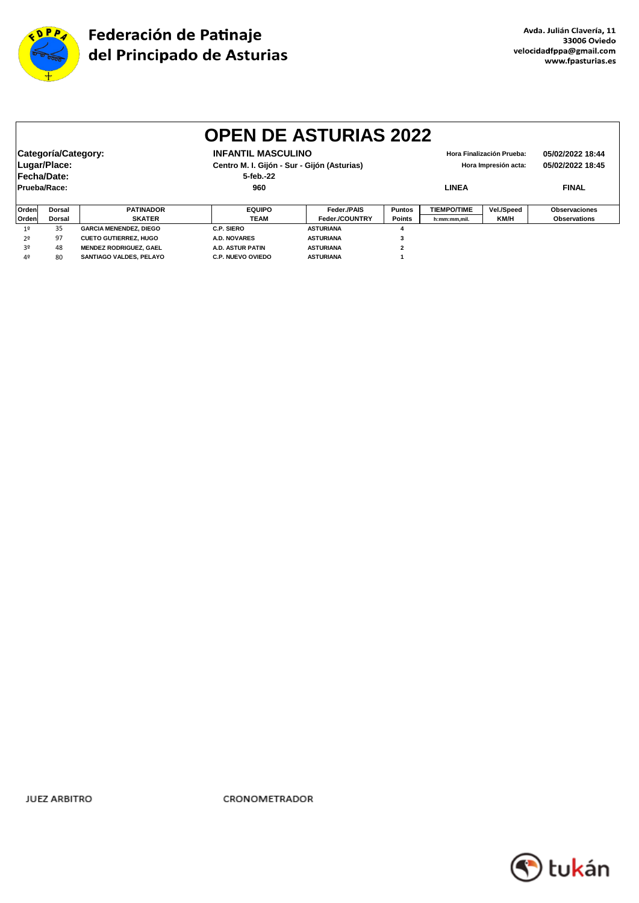

|                |                                    |                                |                                             | <b>OPEN DE ASTURIAS 2022</b> |                |                                          |                           |                      |
|----------------|------------------------------------|--------------------------------|---------------------------------------------|------------------------------|----------------|------------------------------------------|---------------------------|----------------------|
|                | Categoría/Category:                |                                | <b>INFANTIL MASCULINO</b>                   |                              |                |                                          | Hora Finalización Prueba: | 05/02/2022 18:44     |
|                | Lugar/Place:                       |                                | Centro M. I. Gijón - Sur - Gijón (Asturias) |                              |                | 05/02/2022 18:45<br>Hora Impresión acta: |                           |                      |
|                | Fecha/Date:                        |                                | 5-feb.-22                                   |                              |                |                                          |                           |                      |
|                | Prueba/Race:                       |                                | 960                                         |                              |                | <b>LINEA</b>                             |                           | <b>FINAL</b>         |
|                |                                    |                                |                                             |                              |                |                                          |                           |                      |
| Orden          | Dorsal                             | <b>PATINADOR</b>               | <b>EQUIPO</b>                               | Feder./PAIS                  | <b>Puntos</b>  | <b>TIEMPO/TIME</b>                       | Vel./Speed                | <b>Observaciones</b> |
| Orden          | Dorsal                             | <b>SKATER</b>                  | TEAM                                        | Feder./COUNTRY               | <b>Points</b>  | h:mm:mm,mil.                             | KM/H                      | <b>Observations</b>  |
| 19             | 35                                 | <b>GARCIA MENENDEZ, DIEGO</b>  | C.P. SIERO                                  | <b>ASTURIANA</b>             | 4              |                                          |                           |                      |
| 2 <sup>0</sup> | 97<br><b>CUETO GUTIERREZ, HUGO</b> |                                | <b>A.D. NOVARES</b>                         | <b>ASTURIANA</b>             | 3              |                                          |                           |                      |
| 3º             | 48                                 | <b>MENDEZ RODRIGUEZ, GAEL</b>  | A.D. ASTUR PATIN                            | <b>ASTURIANA</b>             | $\overline{2}$ |                                          |                           |                      |
| 40             | 80                                 | <b>SANTIAGO VALDES, PELAYO</b> | <b>C.P. NUEVO OVIEDO</b>                    | <b>ASTURIANA</b>             |                |                                          |                           |                      |

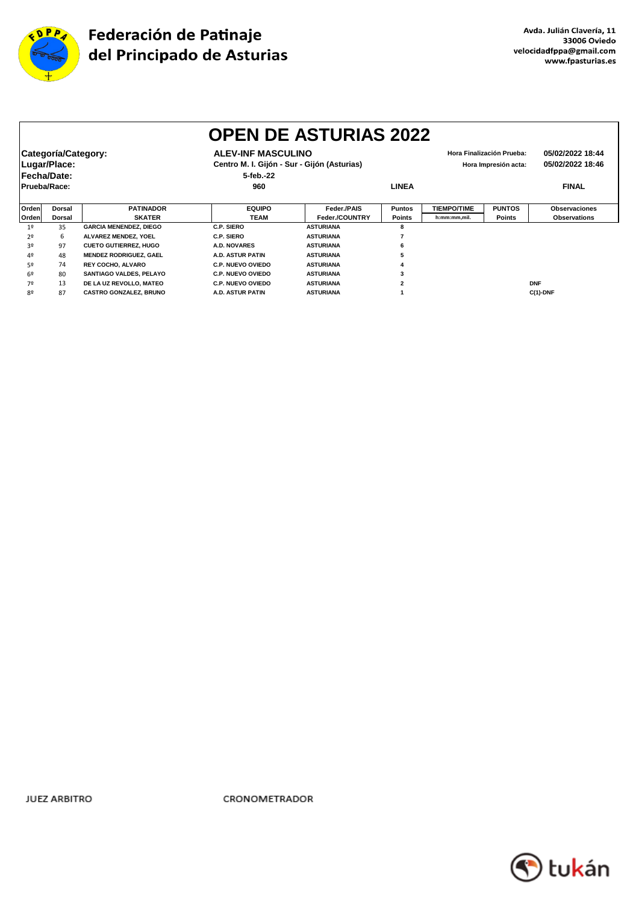

|              |                     |                               |                           | <b>OPEN DE ASTURIAS 2022</b>                                        |               |                    |                           |                      |
|--------------|---------------------|-------------------------------|---------------------------|---------------------------------------------------------------------|---------------|--------------------|---------------------------|----------------------|
|              | Categoría/Category: |                               | <b>ALEV-INF MASCULINO</b> |                                                                     |               |                    | Hora Finalización Prueba: | 05/02/2022 18:44     |
|              | Lugar/Place:        |                               |                           | Centro M. I. Gijón - Sur - Gijón (Asturias)<br>Hora Impresión acta: |               |                    |                           | 05/02/2022 18:46     |
|              | <b> Fecha/Date:</b> |                               | 5-feb.-22                 |                                                                     |               |                    |                           |                      |
| Prueba/Race: |                     |                               | 960                       |                                                                     | <b>LINEA</b>  |                    |                           | <b>FINAL</b>         |
|              |                     |                               |                           |                                                                     |               |                    |                           |                      |
| Orden        | <b>Dorsal</b>       | <b>PATINADOR</b>              | <b>EQUIPO</b>             | Feder./PAIS                                                         | <b>Puntos</b> | <b>TIEMPO/TIME</b> | <b>PUNTOS</b>             | <b>Observaciones</b> |
| Orden        | <b>Dorsal</b>       | <b>SKATER</b>                 | <b>TEAM</b>               | Feder./COUNTRY                                                      | <b>Points</b> | h:mm:mm,mil.       | Points                    | <b>Observations</b>  |
| 19           | 35                  | <b>GARCIA MENENDEZ, DIEGO</b> | C.P. SIERO                | <b>ASTURIANA</b>                                                    | 8             |                    |                           |                      |
| 2º           | 6                   | ALVAREZ MENDEZ, YOEL          | <b>C.P. SIERO</b>         | <b>ASTURIANA</b>                                                    |               |                    |                           |                      |
| 30           | 97                  | <b>CUETO GUTIERREZ, HUGO</b>  | A.D. NOVARES              | <b>ASTURIANA</b>                                                    | 6             |                    |                           |                      |
| 4º           | 48                  | <b>MENDEZ RODRIGUEZ, GAEL</b> | <b>A.D. ASTUR PATIN</b>   | <b>ASTURIANA</b>                                                    |               |                    |                           |                      |
| 52           | 74                  | <b>REY COCHO, ALVARO</b>      | <b>C.P. NUEVO OVIEDO</b>  | <b>ASTURIANA</b>                                                    |               |                    |                           |                      |
| 69           | 80                  | SANTIAGO VALDES, PELAYO       | <b>C.P. NUEVO OVIEDO</b>  | <b>ASTURIANA</b>                                                    | 3             |                    |                           |                      |
| 7º           | 13                  | DE LA UZ REVOLLO, MATEO       | <b>C.P. NUEVO OVIEDO</b>  | <b>ASTURIANA</b>                                                    | 2             |                    |                           | <b>DNF</b>           |
| 80           | 87                  | <b>CASTRO GONZALEZ, BRUNO</b> | A.D. ASTUR PATIN          | <b>ASTURIANA</b>                                                    |               |                    |                           | $C(1)$ -DNF          |

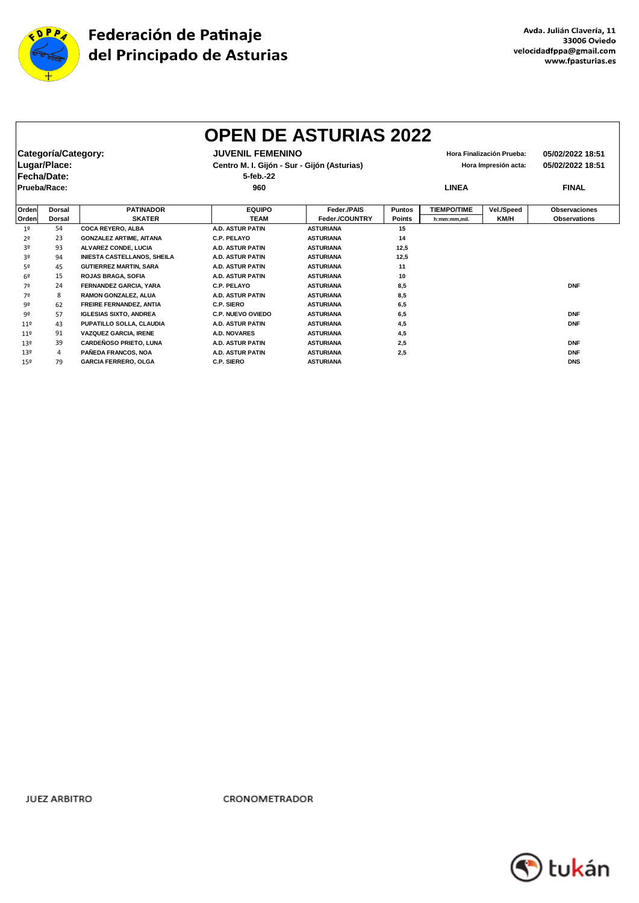

 $\mathbf{r}$ 

|                                     |               |                                    |                         | <b>OPEN DE ASTURIAS 2022</b>                                           |               |                    |                                                   |                                      |
|-------------------------------------|---------------|------------------------------------|-------------------------|------------------------------------------------------------------------|---------------|--------------------|---------------------------------------------------|--------------------------------------|
| Categoría/Category:<br>Lugar/Place: |               |                                    |                         | <b>JUVENIL FEMENINO</b><br>Centro M. I. Gijón - Sur - Gijón (Asturias) |               |                    | Hora Finalización Prueba:<br>Hora Impresión acta: | 05/02/2022 18:51<br>05/02/2022 18:51 |
|                                     | Fecha/Date:   |                                    | 5-feb.-22               |                                                                        |               |                    |                                                   |                                      |
| Prueba/Race:                        |               |                                    | 960                     |                                                                        |               | <b>LINEA</b>       | <b>FINAL</b>                                      |                                      |
| Orden                               | <b>Dorsal</b> | <b>PATINADOR</b>                   | <b>EQUIPO</b>           | Feder./PAIS                                                            | <b>Puntos</b> | <b>TIEMPO/TIME</b> | Vel./Speed                                        | <b>Observaciones</b>                 |
| Ordenl                              | Dorsal        | <b>SKATER</b>                      | <b>TEAM</b>             | Feder./COUNTRY                                                         | <b>Points</b> | h:mm:mm.mil.       | KM/H                                              | <b>Observations</b>                  |
| 1 <sup>°</sup>                      | 54            | <b>COCA REYERO, ALBA</b>           | <b>A.D. ASTUR PATIN</b> | <b>ASTURIANA</b>                                                       | 15            |                    |                                                   |                                      |
| 2 <sup>o</sup>                      | 23            | <b>GONZALEZ ARTIME, AITANA</b>     | C.P. PELAYO             | <b>ASTURIANA</b>                                                       | 14            |                    |                                                   |                                      |
| 3 <sup>o</sup>                      | 93            | <b>ALVAREZ CONDE. LUCIA</b>        | <b>A.D. ASTUR PATIN</b> | <b>ASTURIANA</b>                                                       | 12.5          |                    |                                                   |                                      |
| 3 <sup>o</sup>                      | 94            | <b>INIESTA CASTELLANOS, SHEILA</b> | <b>A.D. ASTUR PATIN</b> | <b>ASTURIANA</b>                                                       | 12,5          |                    |                                                   |                                      |
| 52                                  | 45            | <b>GUTIERREZ MARTIN, SARA</b>      | <b>A.D. ASTUR PATIN</b> | <b>ASTURIANA</b>                                                       | 11            |                    |                                                   |                                      |
| 6º                                  | 15            | ROJAS BRAGA, SOFIA                 | <b>A.D. ASTUR PATIN</b> | <b>ASTURIANA</b>                                                       | 10            |                    |                                                   |                                      |
| 70                                  | 24            | <b>FERNANDEZ GARCIA, YARA</b>      | C.P. PELAYO             | <b>ASTURIANA</b>                                                       | 8.5           |                    |                                                   | <b>DNF</b>                           |
| 70                                  | 8             | <b>RAMON GONZALEZ, ALUA</b>        | <b>A.D. ASTUR PATIN</b> | <b>ASTURIANA</b>                                                       | 8,5           |                    |                                                   |                                      |
| 92                                  | 62            | FREIRE FERNANDEZ, ANTIA            | C.P. SIERO              | <b>ASTURIANA</b>                                                       | 6,5           |                    |                                                   |                                      |
| 92                                  | 57            | <b>IGLESIAS SIXTO, ANDREA</b>      | C.P. NUEVO OVIEDO       | <b>ASTURIANA</b>                                                       | 6,5           |                    |                                                   | <b>DNF</b>                           |
| 11 <sup>°</sup>                     | 43            | PUPATILLO SOLLA, CLAUDIA           | <b>A.D. ASTUR PATIN</b> | <b>ASTURIANA</b>                                                       | 4,5           |                    |                                                   | <b>DNF</b>                           |
| 11 <sup>°</sup>                     | 91            | <b>VAZQUEZ GARCIA, IRENE</b>       | <b>A.D. NOVARES</b>     | <b>ASTURIANA</b>                                                       | 4,5           |                    |                                                   |                                      |
| 13 <sup>°</sup>                     | 39            | <b>CARDEÑOSO PRIETO, LUNA</b>      | <b>A.D. ASTUR PATIN</b> | <b>ASTURIANA</b>                                                       | 2,5           |                    |                                                   | <b>DNF</b>                           |
| 13 <sup>°</sup>                     | 4             | PAÑEDA FRANCOS, NOA                | <b>A.D. ASTUR PATIN</b> | <b>ASTURIANA</b>                                                       | 2,5           |                    |                                                   | <b>DNF</b>                           |
| 15 <sup>°</sup>                     | 79            | <b>GARCIA FERRERO, OLGA</b>        | <b>C.P. SIERO</b>       | <b>ASTURIANA</b>                                                       |               |                    |                                                   | <b>DNS</b>                           |

**JUEZ ARBITRO** 

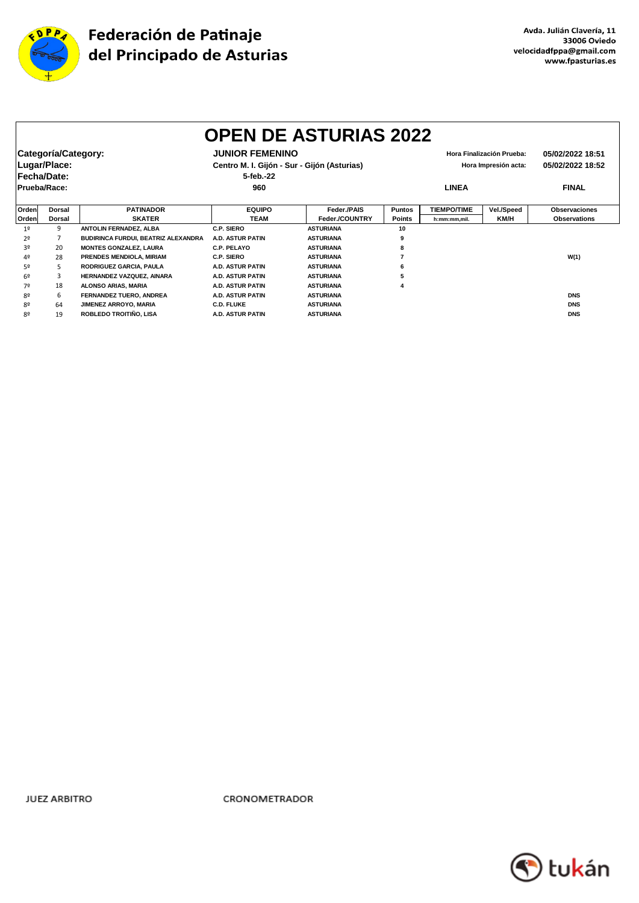

|                                                                            | <b>OPEN DE ASTURIAS 2022</b> |                                     |                                             |                  |               |                    |                      |                     |  |  |  |
|----------------------------------------------------------------------------|------------------------------|-------------------------------------|---------------------------------------------|------------------|---------------|--------------------|----------------------|---------------------|--|--|--|
| <b>JUNIOR FEMENINO</b><br>Categoría/Category:<br>Hora Finalización Prueba: |                              |                                     |                                             |                  |               |                    | 05/02/2022 18:51     |                     |  |  |  |
| Lugar/Place:                                                               |                              |                                     | Centro M. I. Gijón - Sur - Gijón (Asturias) |                  |               |                    | Hora Impresión acta: | 05/02/2022 18:52    |  |  |  |
| Fecha/Date:                                                                |                              |                                     | 5-feb.-22                                   |                  |               |                    |                      |                     |  |  |  |
| Prueba/Race:                                                               |                              |                                     | 960                                         |                  |               | <b>LINEA</b>       |                      | <b>FINAL</b>        |  |  |  |
| Orden                                                                      | <b>Dorsal</b>                | <b>PATINADOR</b>                    | <b>EQUIPO</b>                               | Feder./PAIS      | <b>Puntos</b> | <b>TIEMPO/TIME</b> | Vel./Speed           | Observaciones       |  |  |  |
| Orden                                                                      | <b>Dorsal</b>                | <b>SKATER</b>                       | <b>TEAM</b>                                 | Feder./COUNTRY   | <b>Points</b> | h:mm:mm,mil.       | KM/H                 | <b>Observations</b> |  |  |  |
| 1 <sup>0</sup>                                                             | 9                            | ANTOLIN FERNADEZ, ALBA              | C.P. SIERO                                  | <b>ASTURIANA</b> | 10            |                    |                      |                     |  |  |  |
| 2º                                                                         |                              | BUDIRINCA FURDUI, BEATRIZ ALEXANDRA | <b>A.D. ASTUR PATIN</b>                     | <b>ASTURIANA</b> | 9             |                    |                      |                     |  |  |  |
| 3º                                                                         | 20                           | <b>MONTES GONZALEZ, LAURA</b>       | C.P. PELAYO                                 | <b>ASTURIANA</b> |               |                    |                      |                     |  |  |  |
| 40                                                                         | 28                           | PRENDES MENDIOLA, MIRIAM            | C.P. SIERO                                  | <b>ASTURIANA</b> |               |                    |                      | W(1)                |  |  |  |
| 5º                                                                         | 5                            | RODRIGUEZ GARCIA, PAULA             | A.D. ASTUR PATIN                            | <b>ASTURIANA</b> | 6             |                    |                      |                     |  |  |  |
| 6º                                                                         | 3                            | HERNANDEZ VAZQUEZ, AINARA           | <b>A.D. ASTUR PATIN</b>                     | <b>ASTURIANA</b> |               |                    |                      |                     |  |  |  |
| 70                                                                         | 18                           | ALONSO ARIAS, MARIA                 | A.D. ASTUR PATIN                            | <b>ASTURIANA</b> |               |                    |                      |                     |  |  |  |
| 80                                                                         | 6                            | FERNANDEZ TUERO, ANDREA             | A.D. ASTUR PATIN                            | <b>ASTURIANA</b> |               |                    |                      | <b>DNS</b>          |  |  |  |
| 80                                                                         | 64                           | JIMENEZ ARROYO, MARIA               | <b>C.D. FLUKE</b>                           | <b>ASTURIANA</b> |               |                    |                      | <b>DNS</b>          |  |  |  |
| 80                                                                         | 19                           | ROBLEDO TROITIÑO, LISA              | A.D. ASTUR PATIN                            | <b>ASTURIANA</b> |               |                    |                      | <b>DNS</b>          |  |  |  |

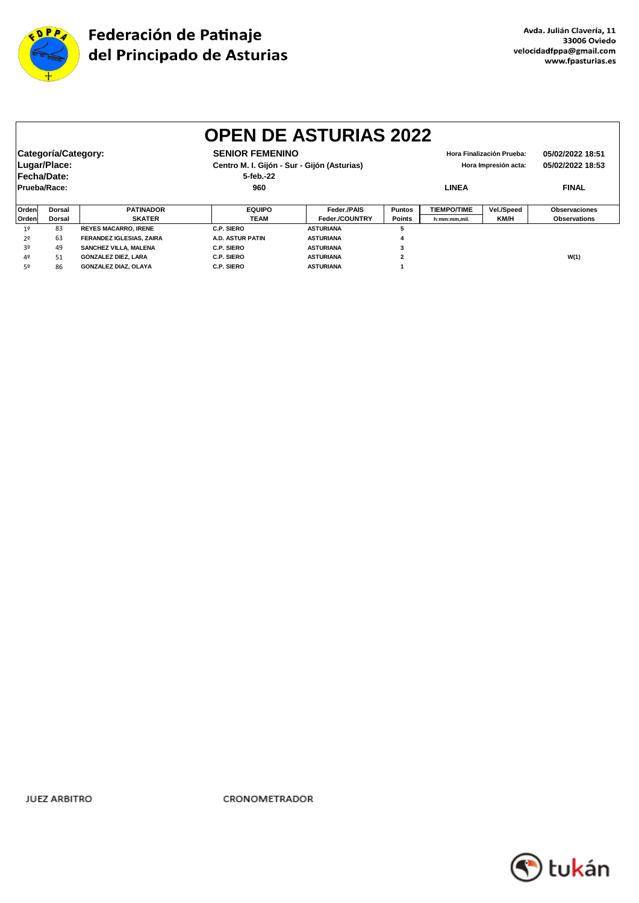

|                |                     |                                 |                         | <b>OPEN DE ASTURIAS 2022</b>                |                |                           |                      |                      |
|----------------|---------------------|---------------------------------|-------------------------|---------------------------------------------|----------------|---------------------------|----------------------|----------------------|
|                | Categoría/Category: |                                 | <b>SENIOR FEMENINO</b>  |                                             |                | Hora Finalización Prueba: | 05/02/2022 18:51     |                      |
| Lugar/Place:   |                     |                                 |                         | Centro M. I. Gijón - Sur - Gijón (Asturias) |                |                           | Hora Impresión acta: | 05/02/2022 18:53     |
|                | Fecha/Date:         |                                 | 5-feb.-22               |                                             |                |                           |                      |                      |
| Prueba/Race:   |                     |                                 | 960                     |                                             | <b>LINEA</b>   |                           |                      | <b>FINAL</b>         |
|                |                     |                                 |                         |                                             |                |                           |                      |                      |
| Orden          | <b>Dorsal</b>       | <b>PATINADOR</b>                | <b>EQUIPO</b>           | Feder./PAIS                                 | <b>Puntos</b>  | <b>TIEMPO/TIME</b>        | Vel./Speed           | <b>Observaciones</b> |
| Orden          | <b>Dorsal</b>       | <b>SKATER</b>                   | <b>TEAM</b>             | Feder./COUNTRY                              | <b>Points</b>  | h:mm:mm,mil.              | KM/H                 | <b>Observations</b>  |
| 1 <sup>°</sup> | 83                  | <b>REYES MACARRO, IRENE</b>     | C.P. SIERO              | <b>ASTURIANA</b>                            | 5              |                           |                      |                      |
| 2°             | 63                  | <b>FERANDEZ IGLESIAS, ZAIRA</b> | <b>A.D. ASTUR PATIN</b> | <b>ASTURIANA</b>                            |                |                           |                      |                      |
| 3º             | 49                  | SANCHEZ VILLA, MALENA           | C.P. SIERO              | <b>ASTURIANA</b>                            | 3              |                           |                      |                      |
| 4º             | 51                  | <b>GONZALEZ DIEZ, LARA</b>      | C.P. SIERO              | <b>ASTURIANA</b>                            | $\overline{2}$ |                           |                      | W(1)                 |
| 5º             | 86                  | <b>GONZALEZ DIAZ. OLAYA</b>     | C.P. SIERO              | <b>ASTURIANA</b>                            |                |                           |                      |                      |

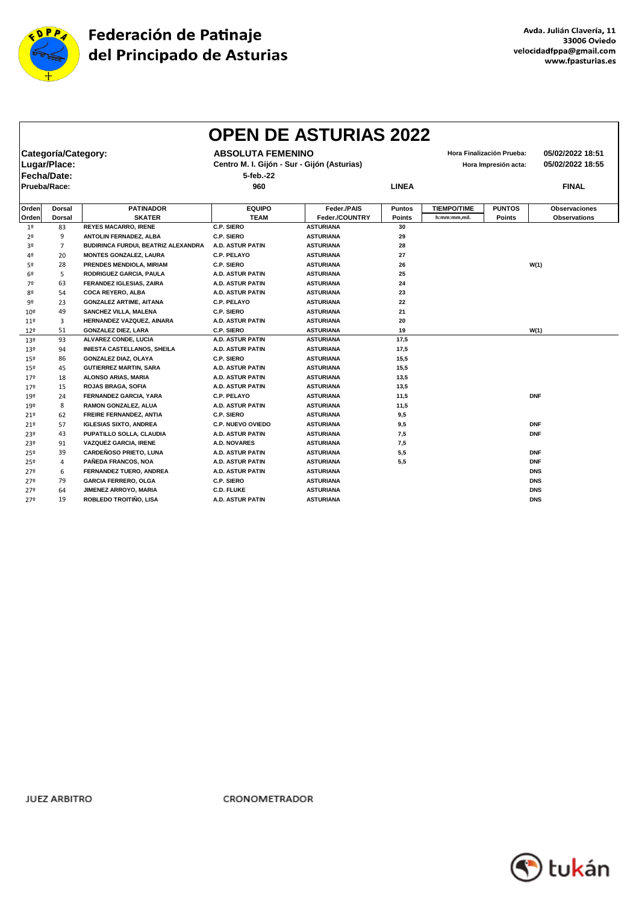

|                         |                     |                                              |                                                                         | <b>OPEN DE ASTURIAS 2022</b>       |                           |                    |                      |                      |
|-------------------------|---------------------|----------------------------------------------|-------------------------------------------------------------------------|------------------------------------|---------------------------|--------------------|----------------------|----------------------|
|                         | Categoría/Category: |                                              |                                                                         |                                    | Hora Finalización Prueba: | 05/02/2022 18:51   |                      |                      |
|                         |                     |                                              | <b>ABSOLUTA FEMENINO</b><br>Centro M. I. Gijón - Sur - Gijón (Asturias) |                                    |                           |                    |                      |                      |
|                         | Lugar/Place:        |                                              |                                                                         |                                    |                           |                    | Hora Impresión acta: | 05/02/2022 18:55     |
|                         | Fecha/Date:         |                                              | 5-feb.-22                                                               |                                    |                           |                    |                      |                      |
| Prueba/Race:            |                     |                                              | 960                                                                     |                                    | <b>LINEA</b>              |                    |                      | <b>FINAL</b>         |
|                         |                     |                                              | <b>EQUIPO</b>                                                           |                                    |                           |                    |                      |                      |
| Orden                   | <b>Dorsal</b>       | <b>PATINADOR</b>                             |                                                                         | Feder./PAIS                        | Puntos                    | <b>TIEMPO/TIME</b> | <b>PUNTOS</b>        | <b>Observaciones</b> |
| Orden<br>1 <sup>°</sup> | Dorsal              | <b>SKATER</b><br><b>REYES MACARRO, IRENE</b> | <b>TEAM</b><br>C.P. SIERO                                               | Feder./COUNTRY<br><b>ASTURIANA</b> | <b>Points</b><br>30       | h:mm:mm.mil.       | Points               | <b>Observations</b>  |
|                         | 83<br>9             | ANTOLIN FERNADEZ, ALBA                       | C.P. SIERO                                                              | <b>ASTURIANA</b>                   | 29                        |                    |                      |                      |
| 2º<br>3º                | $\overline{7}$      | BUDIRINCA FURDUI, BEATRIZ ALEXANDRA          | <b>A.D. ASTUR PATIN</b>                                                 | <b>ASTURIANA</b>                   | 28                        |                    |                      |                      |
| 4º                      | 20                  | <b>MONTES GONZALEZ, LAURA</b>                | C.P. PELAYO                                                             | <b>ASTURIANA</b>                   | 27                        |                    |                      |                      |
| 5º                      | 28                  | PRENDES MENDIOLA, MIRIAM                     | <b>C.P. SIERO</b>                                                       | <b>ASTURIANA</b>                   | 26                        |                    |                      | W(1)                 |
| 6º                      | 5                   | RODRIGUEZ GARCIA, PAULA                      | <b>A.D. ASTUR PATIN</b>                                                 | <b>ASTURIANA</b>                   | 25                        |                    |                      |                      |
| 7º                      | 63                  | FERANDEZ IGLESIAS, ZAIRA                     | <b>A.D. ASTUR PATIN</b>                                                 | <b>ASTURIANA</b>                   | 24                        |                    |                      |                      |
| 80                      | 54                  | <b>COCA REYERO, ALBA</b>                     | <b>A.D. ASTUR PATIN</b>                                                 | <b>ASTURIANA</b>                   | 23                        |                    |                      |                      |
| 92                      | 23                  | <b>GONZALEZ ARTIME, AITANA</b>               | C.P. PELAYO                                                             | <b>ASTURIANA</b>                   | 22                        |                    |                      |                      |
| $10^{9}$                | 49                  | SANCHEZ VILLA, MALENA                        | <b>C.P. SIERO</b>                                                       | <b>ASTURIANA</b>                   | 21                        |                    |                      |                      |
| 11 <sup>°</sup>         | 3                   | HERNANDEZ VAZQUEZ, AINARA                    | A.D. ASTUR PATIN                                                        | <b>ASTURIANA</b>                   | 20                        |                    |                      |                      |
| 12º                     | 51                  | <b>GONZALEZ DIEZ, LARA</b>                   | <b>C.P. SIERO</b>                                                       | <b>ASTURIANA</b>                   | 19                        |                    |                      | W(1)                 |
| 13º                     | 93                  | ALVAREZ CONDE, LUCIA                         | A.D. ASTUR PATIN                                                        | <b>ASTURIANA</b>                   | 17,5                      |                    |                      |                      |
| 13º                     | 94                  | <b>INIESTA CASTELLANOS, SHEILA</b>           | <b>A.D. ASTUR PATIN</b>                                                 | <b>ASTURIANA</b>                   | 17,5                      |                    |                      |                      |
| 15º                     | 86                  | GONZALEZ DIAZ, OLAYA                         | <b>C.P. SIERO</b>                                                       | <b>ASTURIANA</b>                   | 15,5                      |                    |                      |                      |
| 159                     | 45                  | <b>GUTIERREZ MARTIN, SARA</b>                | <b>A.D. ASTUR PATIN</b>                                                 | <b>ASTURIANA</b>                   | 15,5                      |                    |                      |                      |
| 179                     | 18                  | ALONSO ARIAS, MARIA                          | <b>A.D. ASTUR PATIN</b>                                                 | <b>ASTURIANA</b>                   | 13,5                      |                    |                      |                      |
| 179                     | 15                  | <b>ROJAS BRAGA, SOFIA</b>                    | <b>A.D. ASTUR PATIN</b>                                                 | <b>ASTURIANA</b>                   | 13,5                      |                    |                      |                      |
| 19º                     | 24                  | FERNANDEZ GARCIA, YARA                       | C.P. PELAYO                                                             | <b>ASTURIANA</b>                   | 11,5                      |                    |                      | <b>DNF</b>           |
| 19º                     | 8                   | RAMON GONZALEZ, ALUA                         | <b>A.D. ASTUR PATIN</b>                                                 | <b>ASTURIANA</b>                   | 11,5                      |                    |                      |                      |
| 21°                     | 62                  | FREIRE FERNANDEZ, ANTIA                      | C.P. SIERO                                                              | <b>ASTURIANA</b>                   | 9,5                       |                    |                      |                      |
| 219                     | 57                  | <b>IGLESIAS SIXTO, ANDREA</b>                | <b>C.P. NUEVO OVIEDO</b>                                                | <b>ASTURIANA</b>                   | 9,5                       |                    |                      | <b>DNF</b>           |
| 23º                     | 43                  | PUPATILLO SOLLA, CLAUDIA                     | <b>A.D. ASTUR PATIN</b>                                                 | <b>ASTURIANA</b>                   | 7,5                       |                    |                      | <b>DNF</b>           |
| 23º                     | 91                  | <b>VAZQUEZ GARCIA, IRENE</b>                 | <b>A.D. NOVARES</b>                                                     | <b>ASTURIANA</b>                   | 7,5                       |                    |                      |                      |
| 25º                     | 39                  | <b>CARDEÑOSO PRIETO, LUNA</b>                | <b>A.D. ASTUR PATIN</b>                                                 | <b>ASTURIANA</b>                   | 5,5                       |                    |                      | <b>DNF</b>           |
| 259                     | 4                   | PAÑEDA FRANCOS, NOA                          | <b>A.D. ASTUR PATIN</b>                                                 | <b>ASTURIANA</b>                   | 5,5                       |                    |                      | <b>DNF</b>           |
| 27º                     | 6                   | FERNANDEZ TUERO, ANDREA                      | <b>A.D. ASTUR PATIN</b>                                                 | <b>ASTURIANA</b>                   |                           |                    |                      | <b>DNS</b>           |
| 27º                     | 79                  | <b>GARCIA FERRERO, OLGA</b>                  | C.P. SIERO                                                              | <b>ASTURIANA</b>                   |                           |                    |                      | <b>DNS</b>           |
| 27°                     | 64                  | JIMENEZ ARROYO, MARIA                        | <b>C.D. FLUKE</b>                                                       | <b>ASTURIANA</b>                   |                           |                    |                      | <b>DNS</b>           |
| 27º                     | 19                  | ROBLEDO TROITIÑO, LISA                       | <b>A.D. ASTUR PATIN</b>                                                 | <b>ASTURIANA</b>                   |                           |                    |                      | <b>DNS</b>           |

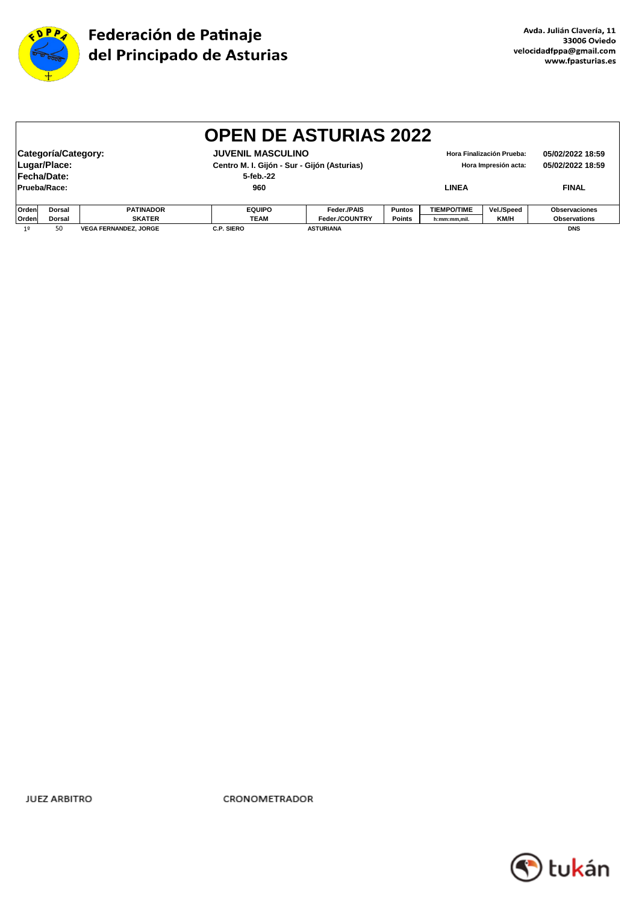

|                             | <b>OPEN DE ASTURIAS 2022</b>                                                                                                                                        |                              |                   |                       |               |                    |            |                                      |  |  |
|-----------------------------|---------------------------------------------------------------------------------------------------------------------------------------------------------------------|------------------------------|-------------------|-----------------------|---------------|--------------------|------------|--------------------------------------|--|--|
|                             | Categoría/Category:<br><b>JUVENIL MASCULINO</b><br>Hora Finalización Prueba:<br>Lugar/Place:<br>Centro M. I. Gijón - Sur - Gijón (Asturias)<br>Hora Impresión acta: |                              |                   |                       |               |                    |            | 05/02/2022 18:59<br>05/02/2022 18:59 |  |  |
| Fecha/Date:<br>Prueba/Race: |                                                                                                                                                                     |                              | 5-feb.-22<br>960  |                       |               | <b>LINEA</b>       |            | <b>FINAL</b>                         |  |  |
| Orden                       | Dorsal                                                                                                                                                              | <b>PATINADOR</b>             | <b>EQUIPO</b>     | Feder./PAIS           | <b>Puntos</b> | <b>TIEMPO/TIME</b> | Vel./Speed | <b>Observaciones</b>                 |  |  |
| Orden                       | <b>Dorsal</b>                                                                                                                                                       | <b>SKATER</b>                | <b>TEAM</b>       | <b>Feder./COUNTRY</b> | <b>Points</b> | h:mm:mm.mil.       | KM/H       | <b>Observations</b>                  |  |  |
| 1 <sup>°</sup>              | 50                                                                                                                                                                  | <b>VEGA FERNANDEZ, JORGE</b> | <b>C.P. SIERO</b> | <b>ASTURIANA</b>      |               |                    |            | <b>DNS</b>                           |  |  |

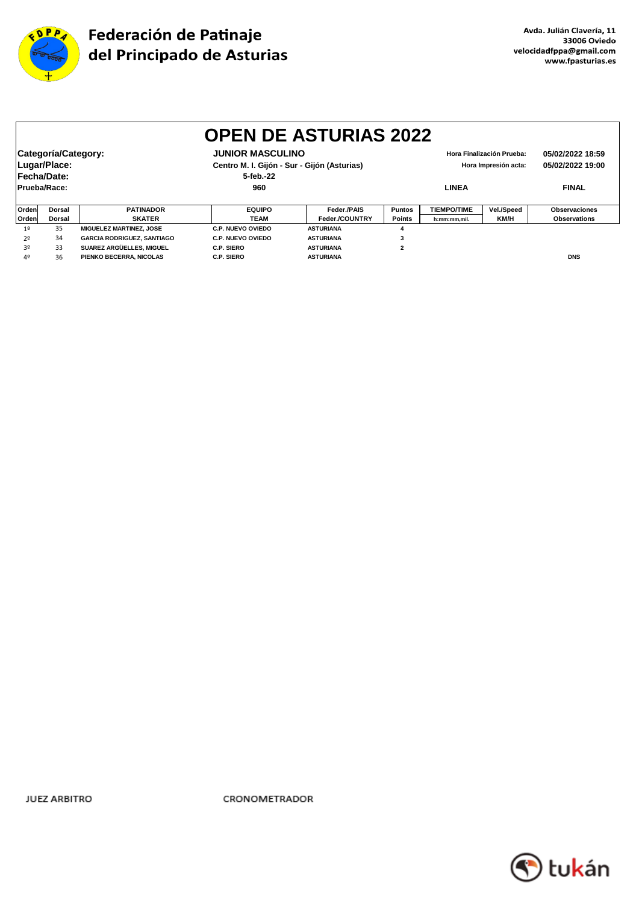

|                | <b>OPEN DE ASTURIAS 2022</b>                                                                    |                                   |                                             |                  |               |                    |                      |                      |  |  |
|----------------|-------------------------------------------------------------------------------------------------|-----------------------------------|---------------------------------------------|------------------|---------------|--------------------|----------------------|----------------------|--|--|
|                |                                                                                                 |                                   |                                             |                  |               |                    |                      |                      |  |  |
|                | Categoría/Category:<br><b>JUNIOR MASCULINO</b><br>05/02/2022 18:59<br>Hora Finalización Prueba: |                                   |                                             |                  |               |                    |                      |                      |  |  |
|                | Lugar/Place:                                                                                    |                                   | Centro M. I. Gijón - Sur - Gijón (Asturias) |                  |               |                    | Hora Impresión acta: | 05/02/2022 19:00     |  |  |
| Fecha/Date:    |                                                                                                 |                                   | 5-feb.-22                                   |                  |               |                    |                      |                      |  |  |
| Prueba/Race:   |                                                                                                 |                                   | 960                                         |                  | <b>LINEA</b>  |                    |                      | <b>FINAL</b>         |  |  |
|                |                                                                                                 |                                   |                                             |                  |               |                    |                      |                      |  |  |
| Orden          | <b>Dorsal</b>                                                                                   | <b>PATINADOR</b>                  | <b>EQUIPO</b>                               | Feder./PAIS      | <b>Puntos</b> | <b>TIEMPO/TIME</b> | Vel./Speed           | <b>Observaciones</b> |  |  |
| Orden          | Dorsal                                                                                          | <b>SKATER</b>                     | <b>TEAM</b>                                 | Feder./COUNTRY   | <b>Points</b> | h:mm:mm,mil.       | KM/H                 | <b>Observations</b>  |  |  |
| 1 <sup>°</sup> | 35                                                                                              | <b>MIGUELEZ MARTINEZ, JOSE</b>    | <b>C.P. NUEVO OVIEDO</b>                    | <b>ASTURIANA</b> |               |                    |                      |                      |  |  |
| 2º             | 34                                                                                              | <b>GARCIA RODRIGUEZ, SANTIAGO</b> | C.P. NUEVO OVIEDO                           | <b>ASTURIANA</b> |               |                    |                      |                      |  |  |
| 3º             | 33                                                                                              | SUAREZ ARGÜELLES. MIGUEL          | C.P. SIERO                                  | <b>ASTURIANA</b> | $\mathbf{2}$  |                    |                      |                      |  |  |
| 4º             | 36                                                                                              | PIENKO BECERRA, NICOLAS           | C.P. SIERO                                  | <b>ASTURIANA</b> |               |                    |                      | <b>DNS</b>           |  |  |

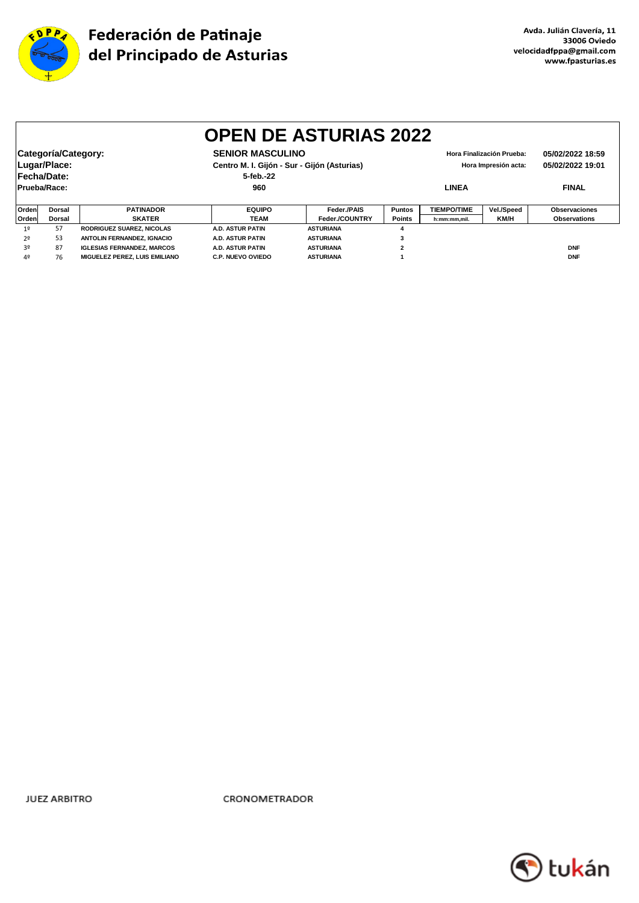

|                | <b>OPEN DE ASTURIAS 2022</b>                                                                    |                                   |                          |                                             |                |                    |                      |                      |  |  |  |
|----------------|-------------------------------------------------------------------------------------------------|-----------------------------------|--------------------------|---------------------------------------------|----------------|--------------------|----------------------|----------------------|--|--|--|
|                |                                                                                                 |                                   |                          |                                             |                |                    |                      |                      |  |  |  |
|                | Categoría/Category:<br><b>SENIOR MASCULINO</b><br>05/02/2022 18:59<br>Hora Finalización Prueba: |                                   |                          |                                             |                |                    |                      |                      |  |  |  |
|                | Lugar/Place:                                                                                    |                                   |                          | Centro M. I. Gijón - Sur - Gijón (Asturias) |                |                    | Hora Impresión acta: | 05/02/2022 19:01     |  |  |  |
| Fecha/Date:    |                                                                                                 |                                   | 5-feb.-22                |                                             |                |                    |                      |                      |  |  |  |
|                | Prueba/Race:                                                                                    |                                   | 960                      |                                             |                | <b>LINEA</b>       | <b>FINAL</b>         |                      |  |  |  |
|                |                                                                                                 |                                   |                          |                                             |                |                    |                      |                      |  |  |  |
| Ordenl         | Dorsal                                                                                          | <b>PATINADOR</b>                  | <b>EQUIPO</b>            | Feder./PAIS                                 | <b>Puntos</b>  | <b>TIEMPO/TIME</b> | Vel./Speed           | <b>Observaciones</b> |  |  |  |
| Orden          | Dorsal                                                                                          | <b>SKATER</b>                     | <b>TEAM</b>              | Feder./COUNTRY                              | <b>Points</b>  | h:mm:mm.mil.       | <b>KM/H</b>          | <b>Observations</b>  |  |  |  |
| 1 <sup>°</sup> | 57                                                                                              | RODRIGUEZ SUAREZ, NICOLAS         | <b>A.D. ASTUR PATIN</b>  | <b>ASTURIANA</b>                            |                |                    |                      |                      |  |  |  |
| 2 <sup>0</sup> | 53                                                                                              | <b>ANTOLIN FERNANDEZ. IGNACIO</b> | A.D. ASTUR PATIN         | <b>ASTURIANA</b>                            | 3              |                    |                      |                      |  |  |  |
| 30             | 87                                                                                              | <b>IGLESIAS FERNANDEZ, MARCOS</b> | A.D. ASTUR PATIN         | <b>ASTURIANA</b>                            | $\overline{2}$ |                    |                      | <b>DNF</b>           |  |  |  |
| 4º             | 76                                                                                              | MIGUELEZ PEREZ. LUIS EMILIANO     | <b>C.P. NUEVO OVIEDO</b> | <b>ASTURIANA</b>                            |                |                    |                      | <b>DNF</b>           |  |  |  |

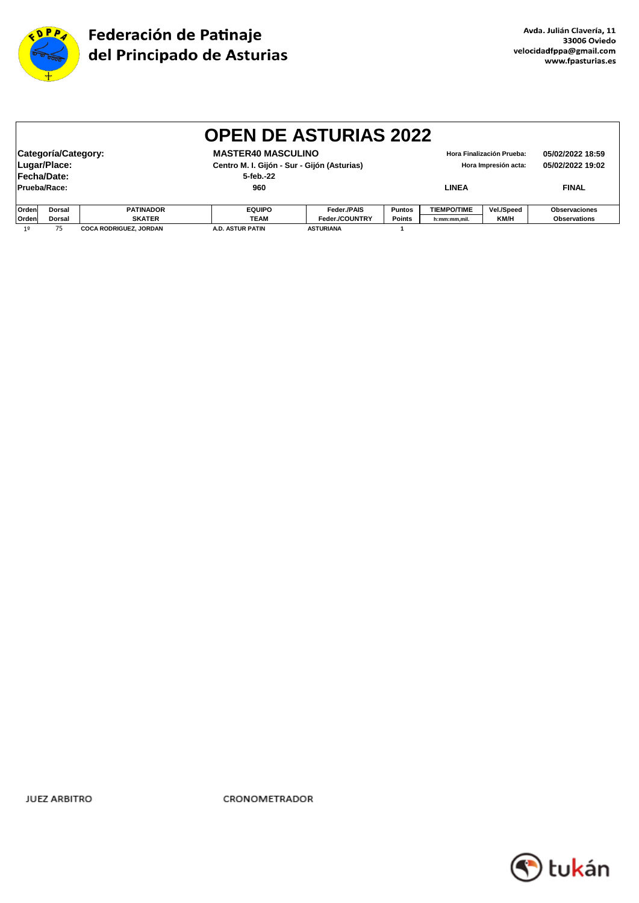

|                                                                                                                                             | <b>OPEN DE ASTURIAS 2022</b> |                               |                  |                  |                                                   |                    |             |                                      |  |  |
|---------------------------------------------------------------------------------------------------------------------------------------------|------------------------------|-------------------------------|------------------|------------------|---------------------------------------------------|--------------------|-------------|--------------------------------------|--|--|
| <b>MASTER40 MASCULINO</b><br>Categoría/Category:<br>Lugar/Place:<br>Centro M. I. Gijón - Sur - Gijón (Asturias)<br>Fecha/Date:<br>5-feb.-22 |                              |                               |                  |                  | Hora Finalización Prueba:<br>Hora Impresión acta: |                    |             | 05/02/2022 18:59<br>05/02/2022 19:02 |  |  |
| Prueba/Race:                                                                                                                                |                              |                               | 960              |                  |                                                   | LINEA              |             | <b>FINAL</b>                         |  |  |
| Orden                                                                                                                                       | Dorsal                       | <b>PATINADOR</b>              | <b>EQUIPO</b>    | Feder./PAIS      | <b>Puntos</b>                                     | <b>TIEMPO/TIME</b> | Vel./Speed  | <b>Observaciones</b>                 |  |  |
| Orden                                                                                                                                       | Dorsal                       | <b>SKATER</b>                 | TEAM             | Feder./COUNTRY   | <b>Points</b>                                     | h:mm:mm,mil.       | <b>KM/H</b> | <b>Observations</b>                  |  |  |
| 1 <sup>°</sup>                                                                                                                              | 75                           | <b>COCA RODRIGUEZ, JORDAN</b> | A.D. ASTUR PATIN | <b>ASTURIANA</b> |                                                   |                    |             |                                      |  |  |